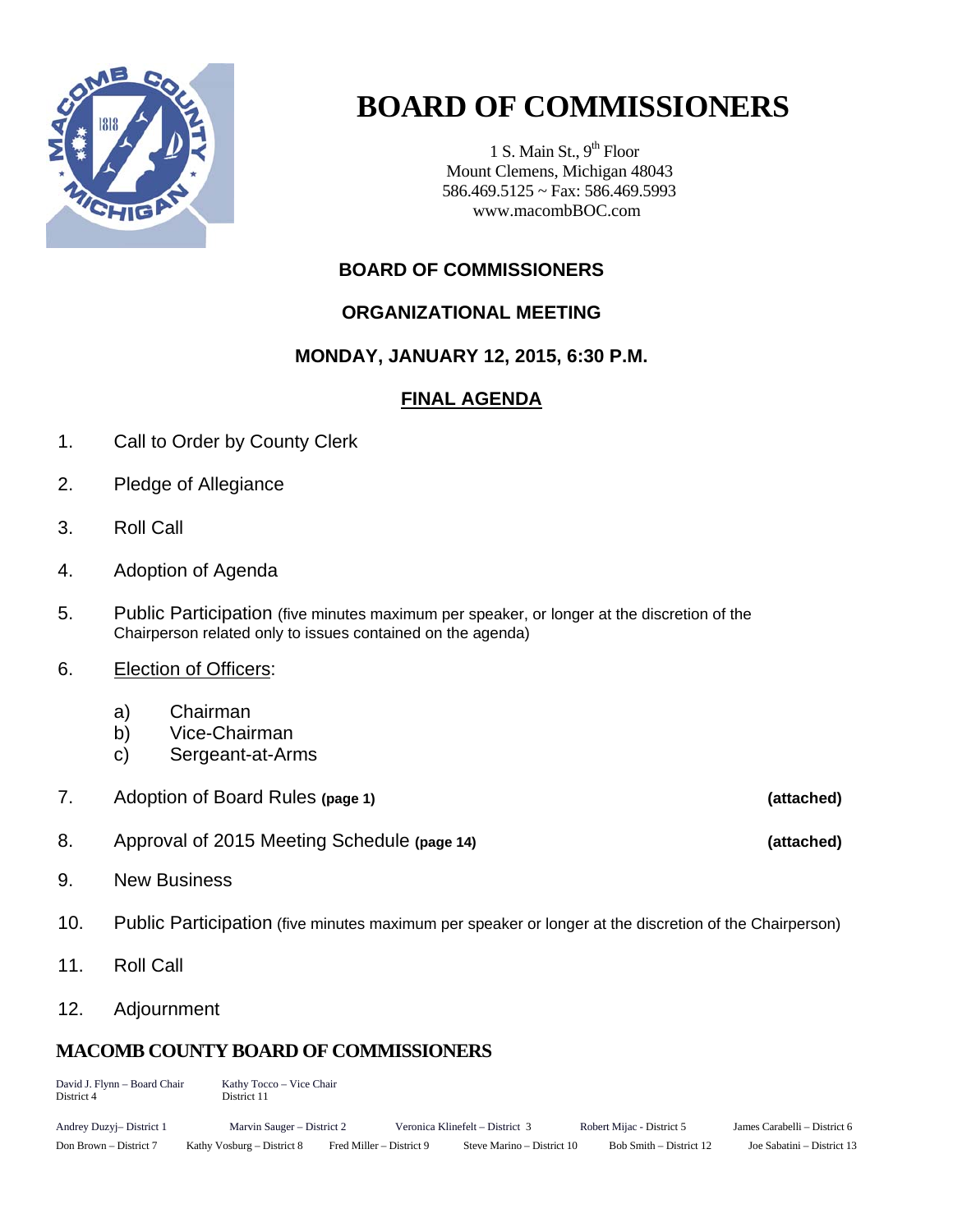

# **BOARD OF COMMISSIONERS**

1 S. Main St.,  $9<sup>th</sup>$  Floor Mount Clemens, Michigan 48043 586.469.5125 ~ Fax: 586.469.5993 www.macombBOC.com

# **BOARD OF COMMISSIONERS**

# **ORGANIZATIONAL MEETING**

# **MONDAY, JANUARY 12, 2015, 6:30 P.M.**

# **FINAL AGENDA**

- 1. Call to Order by County Clerk
- 2. Pledge of Allegiance
- 3. Roll Call
- 4. Adoption of Agenda
- 5. Public Participation (five minutes maximum per speaker, or longer at the discretion of the Chairperson related only to issues contained on the agenda)
- 6. Election of Officers:
	- a) Chairman
	- b) Vice-Chairman
	- c) Sergeant-at-Arms
- 7. Adoption of Board Rules **(page 1) (attached)**
- 8. Approval of 2015 Meeting Schedule **(page 14) (attached)**
- 9. New Business
- 10. Public Participation (five minutes maximum per speaker or longer at the discretion of the Chairperson)
- 11. Roll Call
- 12. Adjournment

# **MACOMB COUNTY BOARD OF COMMISSIONERS**

| David J. Flynn - Board Chair<br>District 4 | Kathy Tocco – Vice Chair<br>District 11 |                          |                                 |                           |                              |  |
|--------------------------------------------|-----------------------------------------|--------------------------|---------------------------------|---------------------------|------------------------------|--|
| Andrey Duzyj-District 1                    | Marvin Sauger – District 2              |                          | Veronica Klinefelt – District 3 | Robert Mijac - District 5 | James Carabelli – District 6 |  |
| Don Brown – District 7                     | Kathy Vosburg – District 8              | Fred Miller – District 9 | Steve Marino – District 10      | Bob Smith – District 12   | Joe Sabatini – District 13   |  |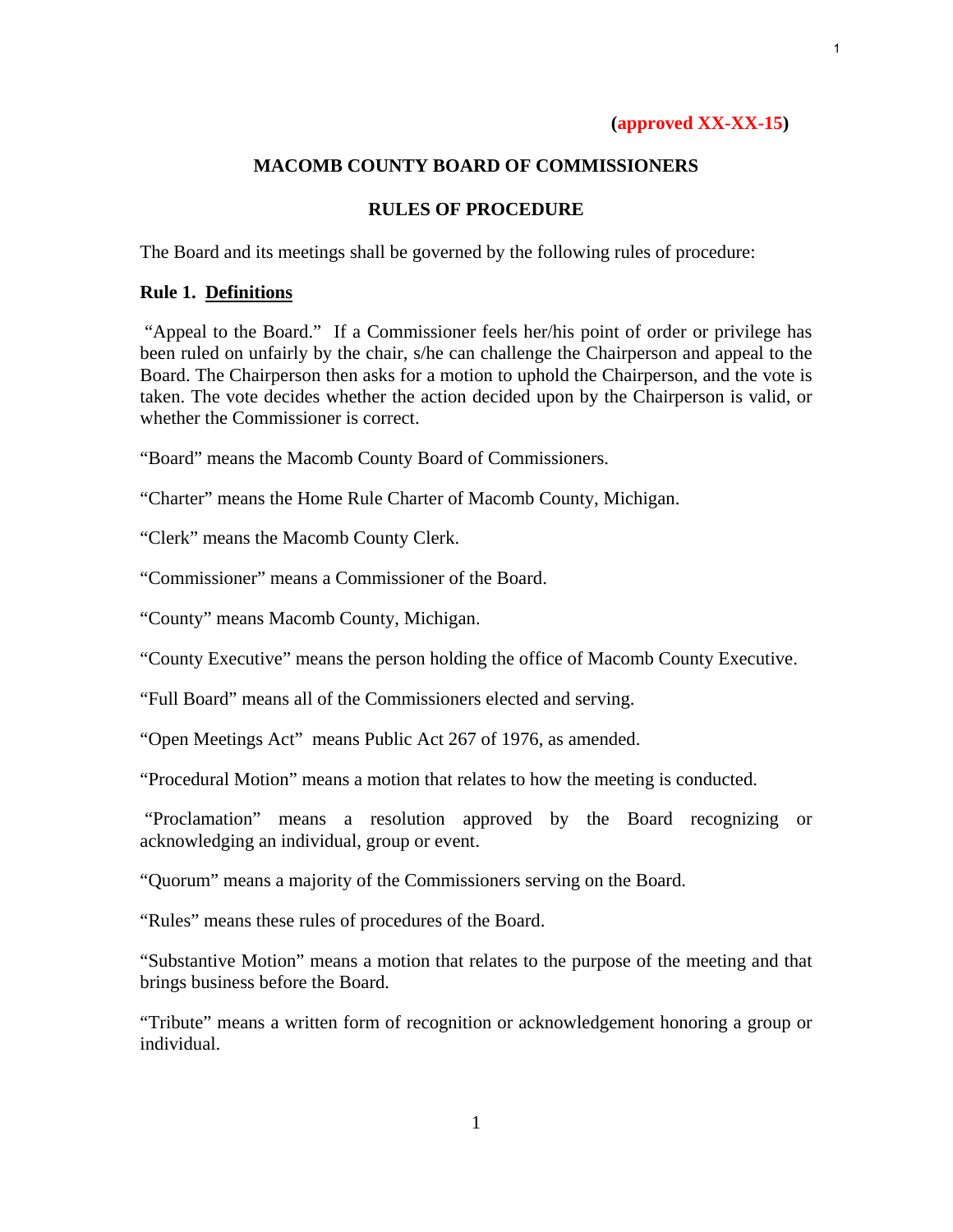# **(approved XX-XX-15)**

# **MACOMB COUNTY BOARD OF COMMISSIONERS**

# **RULES OF PROCEDURE**

The Board and its meetings shall be governed by the following rules of procedure:

# **Rule 1. Definitions**

"Appeal to the Board." If a Commissioner feels her/his point of order or privilege has been ruled on unfairly by the chair, s/he can challenge the Chairperson and appeal to the Board. The Chairperson then asks for a motion to uphold the Chairperson, and the vote is taken. The vote decides whether the action decided upon by the Chairperson is valid, or whether the Commissioner is correct.

"Board" means the Macomb County Board of Commissioners.

"Charter" means the Home Rule Charter of Macomb County, Michigan.

"Clerk" means the Macomb County Clerk.

"Commissioner" means a Commissioner of the Board.

"County" means Macomb County, Michigan.

"County Executive" means the person holding the office of Macomb County Executive.

"Full Board" means all of the Commissioners elected and serving.

"Open Meetings Act" means Public Act 267 of 1976, as amended.

"Procedural Motion" means a motion that relates to how the meeting is conducted.

 "Proclamation" means a resolution approved by the Board recognizing or acknowledging an individual, group or event.

"Quorum" means a majority of the Commissioners serving on the Board.

"Rules" means these rules of procedures of the Board.

"Substantive Motion" means a motion that relates to the purpose of the meeting and that brings business before the Board.

"Tribute" means a written form of recognition or acknowledgement honoring a group or individual.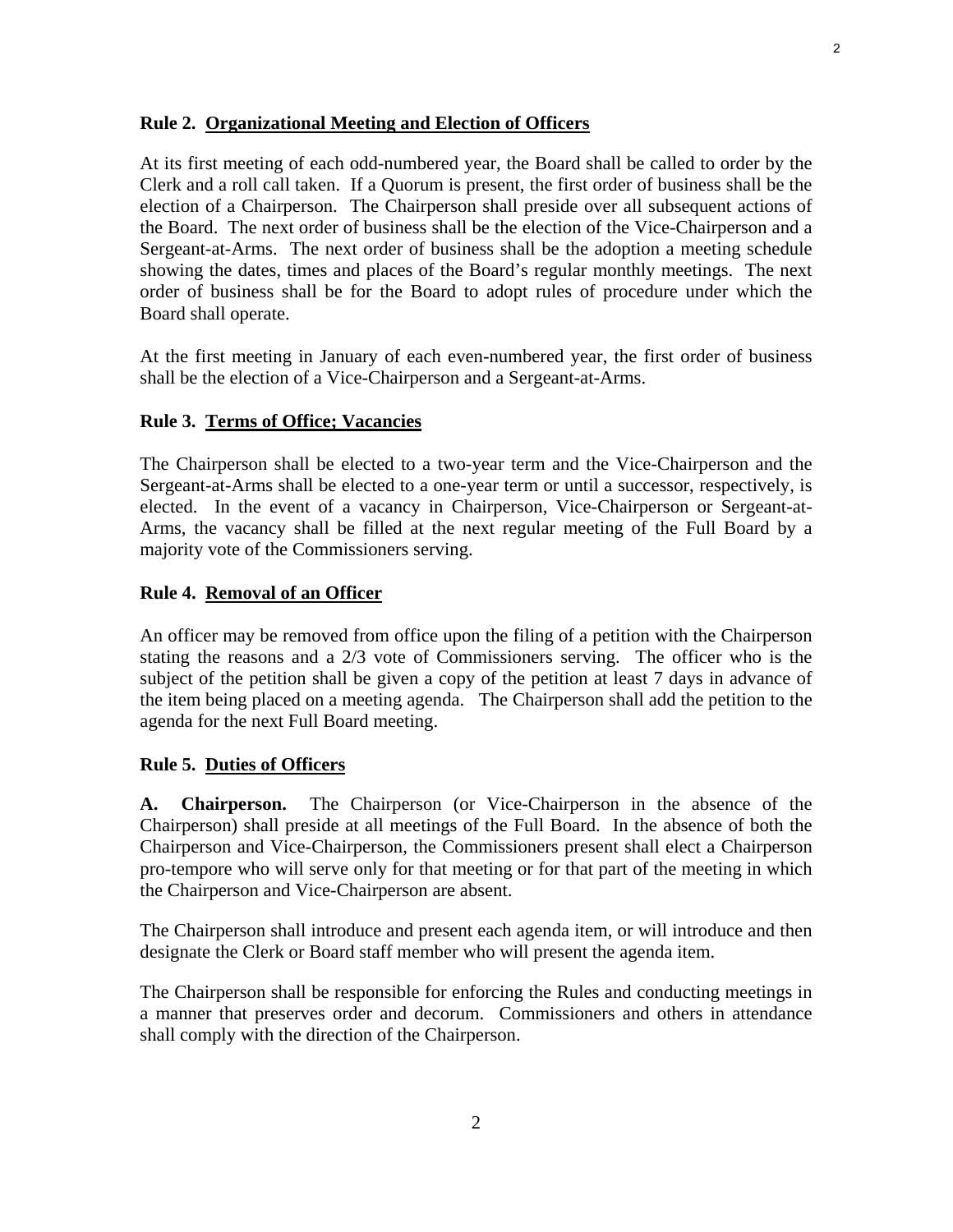#### **Rule 2. Organizational Meeting and Election of Officers**

At its first meeting of each odd-numbered year, the Board shall be called to order by the Clerk and a roll call taken. If a Quorum is present, the first order of business shall be the election of a Chairperson. The Chairperson shall preside over all subsequent actions of the Board. The next order of business shall be the election of the Vice-Chairperson and a Sergeant-at-Arms. The next order of business shall be the adoption a meeting schedule showing the dates, times and places of the Board's regular monthly meetings. The next order of business shall be for the Board to adopt rules of procedure under which the Board shall operate.

At the first meeting in January of each even-numbered year, the first order of business shall be the election of a Vice-Chairperson and a Sergeant-at-Arms.

# **Rule 3. Terms of Office; Vacancies**

The Chairperson shall be elected to a two-year term and the Vice-Chairperson and the Sergeant-at-Arms shall be elected to a one-year term or until a successor, respectively, is elected. In the event of a vacancy in Chairperson, Vice-Chairperson or Sergeant-at-Arms, the vacancy shall be filled at the next regular meeting of the Full Board by a majority vote of the Commissioners serving.

# **Rule 4. Removal of an Officer**

An officer may be removed from office upon the filing of a petition with the Chairperson stating the reasons and a 2/3 vote of Commissioners serving. The officer who is the subject of the petition shall be given a copy of the petition at least 7 days in advance of the item being placed on a meeting agenda. The Chairperson shall add the petition to the agenda for the next Full Board meeting.

# **Rule 5. Duties of Officers**

**A. Chairperson.** The Chairperson (or Vice-Chairperson in the absence of the Chairperson) shall preside at all meetings of the Full Board. In the absence of both the Chairperson and Vice-Chairperson, the Commissioners present shall elect a Chairperson pro-tempore who will serve only for that meeting or for that part of the meeting in which the Chairperson and Vice-Chairperson are absent.

The Chairperson shall introduce and present each agenda item, or will introduce and then designate the Clerk or Board staff member who will present the agenda item.

The Chairperson shall be responsible for enforcing the Rules and conducting meetings in a manner that preserves order and decorum. Commissioners and others in attendance shall comply with the direction of the Chairperson.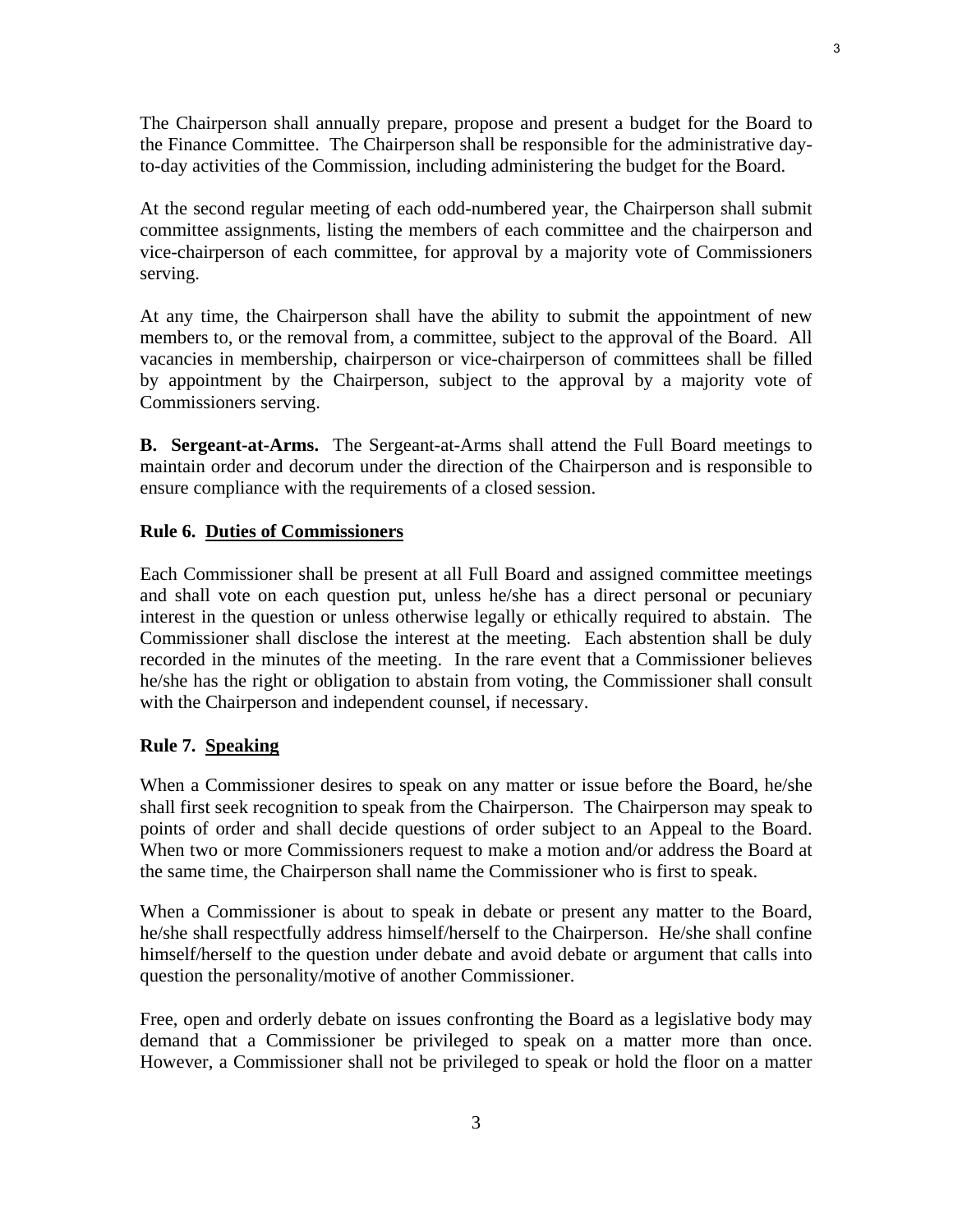The Chairperson shall annually prepare, propose and present a budget for the Board to the Finance Committee. The Chairperson shall be responsible for the administrative dayto-day activities of the Commission, including administering the budget for the Board.

At the second regular meeting of each odd-numbered year, the Chairperson shall submit committee assignments, listing the members of each committee and the chairperson and vice-chairperson of each committee, for approval by a majority vote of Commissioners serving.

At any time, the Chairperson shall have the ability to submit the appointment of new members to, or the removal from, a committee, subject to the approval of the Board. All vacancies in membership, chairperson or vice-chairperson of committees shall be filled by appointment by the Chairperson, subject to the approval by a majority vote of Commissioners serving.

**B. Sergeant-at-Arms.** The Sergeant-at-Arms shall attend the Full Board meetings to maintain order and decorum under the direction of the Chairperson and is responsible to ensure compliance with the requirements of a closed session.

## **Rule 6. Duties of Commissioners**

Each Commissioner shall be present at all Full Board and assigned committee meetings and shall vote on each question put, unless he/she has a direct personal or pecuniary interest in the question or unless otherwise legally or ethically required to abstain. The Commissioner shall disclose the interest at the meeting. Each abstention shall be duly recorded in the minutes of the meeting. In the rare event that a Commissioner believes he/she has the right or obligation to abstain from voting, the Commissioner shall consult with the Chairperson and independent counsel, if necessary.

### **Rule 7. Speaking**

When a Commissioner desires to speak on any matter or issue before the Board, he/she shall first seek recognition to speak from the Chairperson. The Chairperson may speak to points of order and shall decide questions of order subject to an Appeal to the Board. When two or more Commissioners request to make a motion and/or address the Board at the same time, the Chairperson shall name the Commissioner who is first to speak.

When a Commissioner is about to speak in debate or present any matter to the Board, he/she shall respectfully address himself/herself to the Chairperson. He/she shall confine himself/herself to the question under debate and avoid debate or argument that calls into question the personality/motive of another Commissioner.

Free, open and orderly debate on issues confronting the Board as a legislative body may demand that a Commissioner be privileged to speak on a matter more than once. However, a Commissioner shall not be privileged to speak or hold the floor on a matter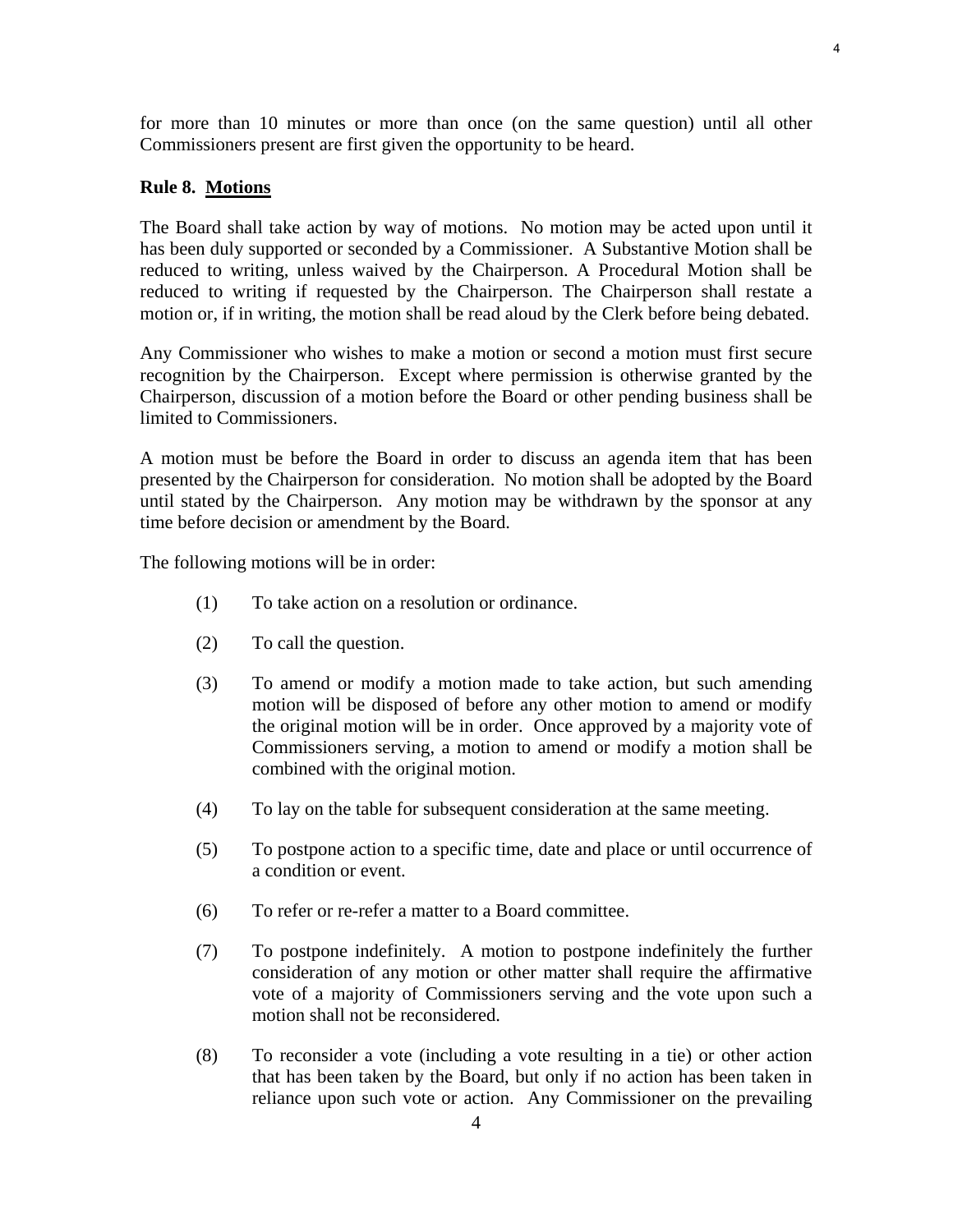for more than 10 minutes or more than once (on the same question) until all other Commissioners present are first given the opportunity to be heard.

## **Rule 8. Motions**

The Board shall take action by way of motions. No motion may be acted upon until it has been duly supported or seconded by a Commissioner. A Substantive Motion shall be reduced to writing, unless waived by the Chairperson. A Procedural Motion shall be reduced to writing if requested by the Chairperson. The Chairperson shall restate a motion or, if in writing, the motion shall be read aloud by the Clerk before being debated.

Any Commissioner who wishes to make a motion or second a motion must first secure recognition by the Chairperson. Except where permission is otherwise granted by the Chairperson, discussion of a motion before the Board or other pending business shall be limited to Commissioners.

A motion must be before the Board in order to discuss an agenda item that has been presented by the Chairperson for consideration. No motion shall be adopted by the Board until stated by the Chairperson. Any motion may be withdrawn by the sponsor at any time before decision or amendment by the Board.

The following motions will be in order:

- (1) To take action on a resolution or ordinance.
- (2) To call the question.
- (3) To amend or modify a motion made to take action, but such amending motion will be disposed of before any other motion to amend or modify the original motion will be in order. Once approved by a majority vote of Commissioners serving, a motion to amend or modify a motion shall be combined with the original motion.
- (4) To lay on the table for subsequent consideration at the same meeting.
- (5) To postpone action to a specific time, date and place or until occurrence of a condition or event.
- (6) To refer or re-refer a matter to a Board committee.
- (7) To postpone indefinitely. A motion to postpone indefinitely the further consideration of any motion or other matter shall require the affirmative vote of a majority of Commissioners serving and the vote upon such a motion shall not be reconsidered.
- (8) To reconsider a vote (including a vote resulting in a tie) or other action that has been taken by the Board, but only if no action has been taken in reliance upon such vote or action. Any Commissioner on the prevailing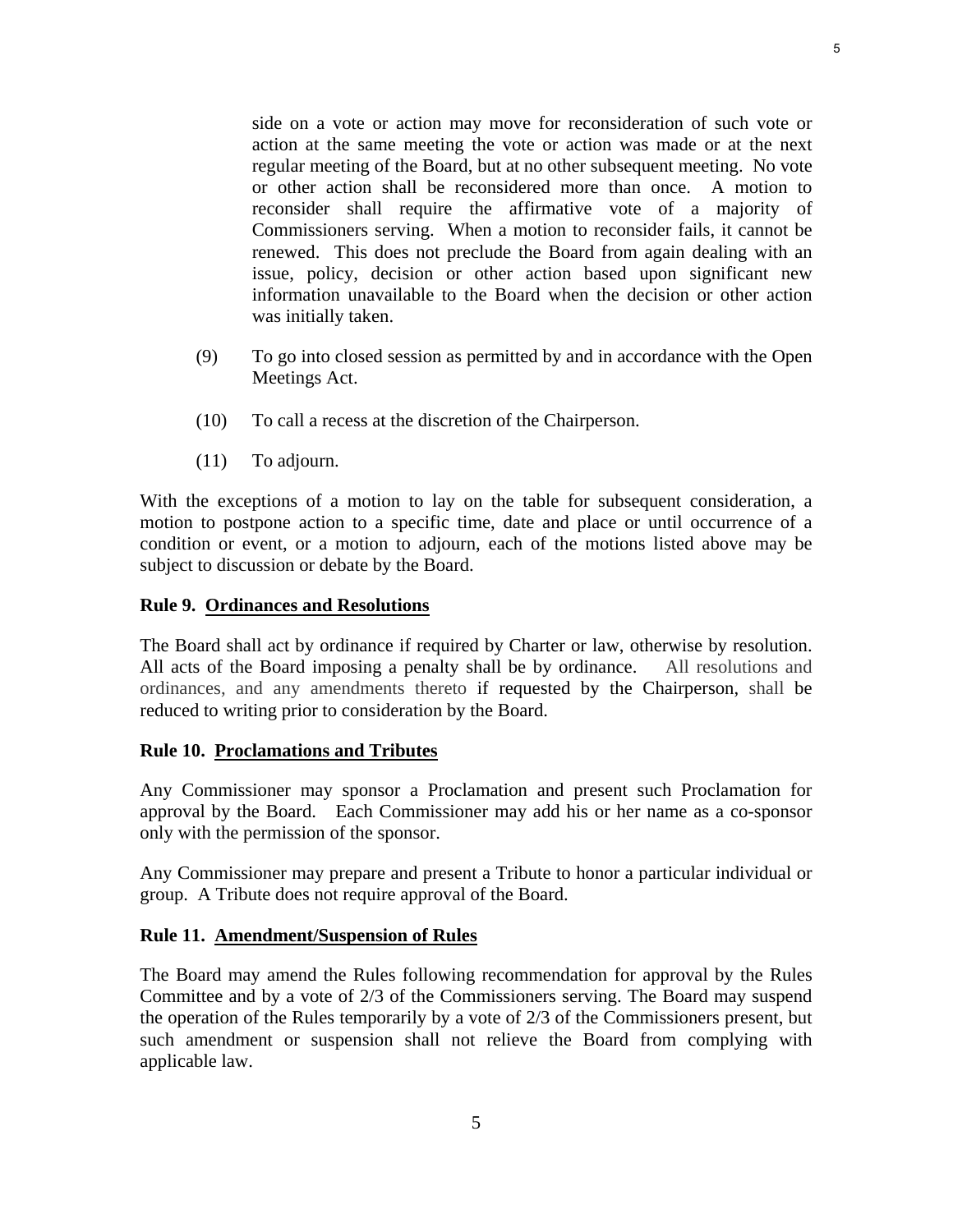side on a vote or action may move for reconsideration of such vote or action at the same meeting the vote or action was made or at the next regular meeting of the Board, but at no other subsequent meeting. No vote or other action shall be reconsidered more than once. A motion to reconsider shall require the affirmative vote of a majority of Commissioners serving. When a motion to reconsider fails, it cannot be renewed. This does not preclude the Board from again dealing with an issue, policy, decision or other action based upon significant new information unavailable to the Board when the decision or other action was initially taken.

- (9) To go into closed session as permitted by and in accordance with the Open Meetings Act.
- (10) To call a recess at the discretion of the Chairperson.
- (11) To adjourn.

With the exceptions of a motion to lay on the table for subsequent consideration, a motion to postpone action to a specific time, date and place or until occurrence of a condition or event, or a motion to adjourn, each of the motions listed above may be subject to discussion or debate by the Board.

#### **Rule 9. Ordinances and Resolutions**

The Board shall act by ordinance if required by Charter or law, otherwise by resolution. All acts of the Board imposing a penalty shall be by ordinance. All resolutions and ordinances, and any amendments thereto if requested by the Chairperson, shall be reduced to writing prior to consideration by the Board.

# **Rule 10. Proclamations and Tributes**

Any Commissioner may sponsor a Proclamation and present such Proclamation for approval by the Board. Each Commissioner may add his or her name as a co-sponsor only with the permission of the sponsor.

Any Commissioner may prepare and present a Tribute to honor a particular individual or group. A Tribute does not require approval of the Board.

# **Rule 11. Amendment/Suspension of Rules**

The Board may amend the Rules following recommendation for approval by the Rules Committee and by a vote of 2/3 of the Commissioners serving. The Board may suspend the operation of the Rules temporarily by a vote of 2/3 of the Commissioners present, but such amendment or suspension shall not relieve the Board from complying with applicable law.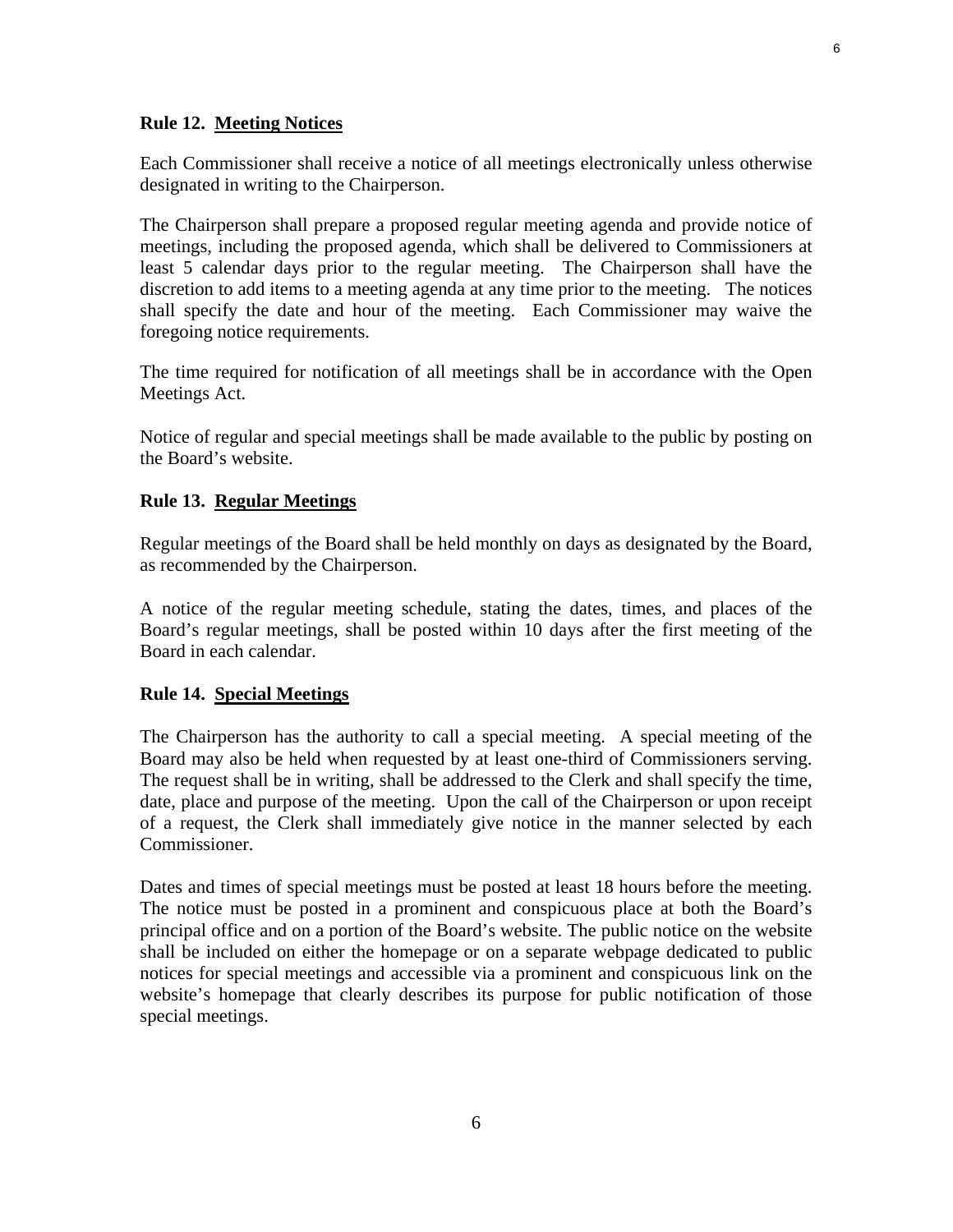#### **Rule 12. Meeting Notices**

Each Commissioner shall receive a notice of all meetings electronically unless otherwise designated in writing to the Chairperson.

The Chairperson shall prepare a proposed regular meeting agenda and provide notice of meetings, including the proposed agenda, which shall be delivered to Commissioners at least 5 calendar days prior to the regular meeting. The Chairperson shall have the discretion to add items to a meeting agenda at any time prior to the meeting. The notices shall specify the date and hour of the meeting. Each Commissioner may waive the foregoing notice requirements.

The time required for notification of all meetings shall be in accordance with the Open Meetings Act.

Notice of regular and special meetings shall be made available to the public by posting on the Board's website.

#### **Rule 13. Regular Meetings**

Regular meetings of the Board shall be held monthly on days as designated by the Board, as recommended by the Chairperson.

A notice of the regular meeting schedule, stating the dates, times, and places of the Board's regular meetings, shall be posted within 10 days after the first meeting of the Board in each calendar.

#### **Rule 14. Special Meetings**

The Chairperson has the authority to call a special meeting. A special meeting of the Board may also be held when requested by at least one-third of Commissioners serving. The request shall be in writing, shall be addressed to the Clerk and shall specify the time, date, place and purpose of the meeting. Upon the call of the Chairperson or upon receipt of a request, the Clerk shall immediately give notice in the manner selected by each Commissioner.

Dates and times of special meetings must be posted at least 18 hours before the meeting. The notice must be posted in a prominent and conspicuous place at both the Board's principal office and on a portion of the Board's website. The public notice on the website shall be included on either the homepage or on a separate webpage dedicated to public notices for special meetings and accessible via a prominent and conspicuous link on the website's homepage that clearly describes its purpose for public notification of those special meetings.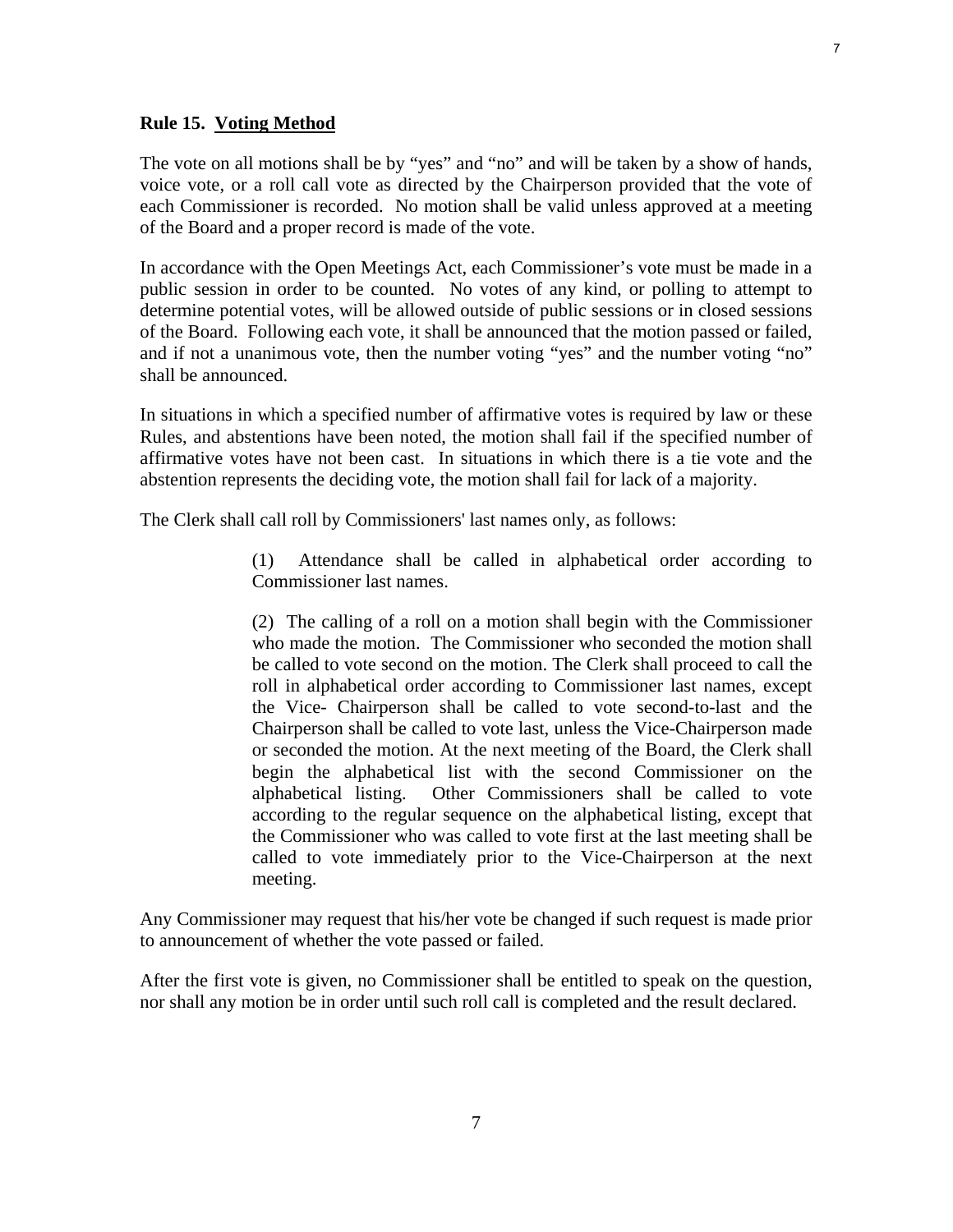#### **Rule 15. Voting Method**

The vote on all motions shall be by "yes" and "no" and will be taken by a show of hands, voice vote, or a roll call vote as directed by the Chairperson provided that the vote of each Commissioner is recorded. No motion shall be valid unless approved at a meeting of the Board and a proper record is made of the vote.

In accordance with the Open Meetings Act, each Commissioner's vote must be made in a public session in order to be counted. No votes of any kind, or polling to attempt to determine potential votes, will be allowed outside of public sessions or in closed sessions of the Board. Following each vote, it shall be announced that the motion passed or failed, and if not a unanimous vote, then the number voting "yes" and the number voting "no" shall be announced.

In situations in which a specified number of affirmative votes is required by law or these Rules, and abstentions have been noted, the motion shall fail if the specified number of affirmative votes have not been cast. In situations in which there is a tie vote and the abstention represents the deciding vote, the motion shall fail for lack of a majority.

The Clerk shall call roll by Commissioners' last names only, as follows:

(1) Attendance shall be called in alphabetical order according to Commissioner last names.

(2) The calling of a roll on a motion shall begin with the Commissioner who made the motion. The Commissioner who seconded the motion shall be called to vote second on the motion. The Clerk shall proceed to call the roll in alphabetical order according to Commissioner last names, except the Vice- Chairperson shall be called to vote second-to-last and the Chairperson shall be called to vote last, unless the Vice-Chairperson made or seconded the motion. At the next meeting of the Board, the Clerk shall begin the alphabetical list with the second Commissioner on the alphabetical listing. Other Commissioners shall be called to vote according to the regular sequence on the alphabetical listing, except that the Commissioner who was called to vote first at the last meeting shall be called to vote immediately prior to the Vice-Chairperson at the next meeting.

Any Commissioner may request that his/her vote be changed if such request is made prior to announcement of whether the vote passed or failed.

After the first vote is given, no Commissioner shall be entitled to speak on the question, nor shall any motion be in order until such roll call is completed and the result declared.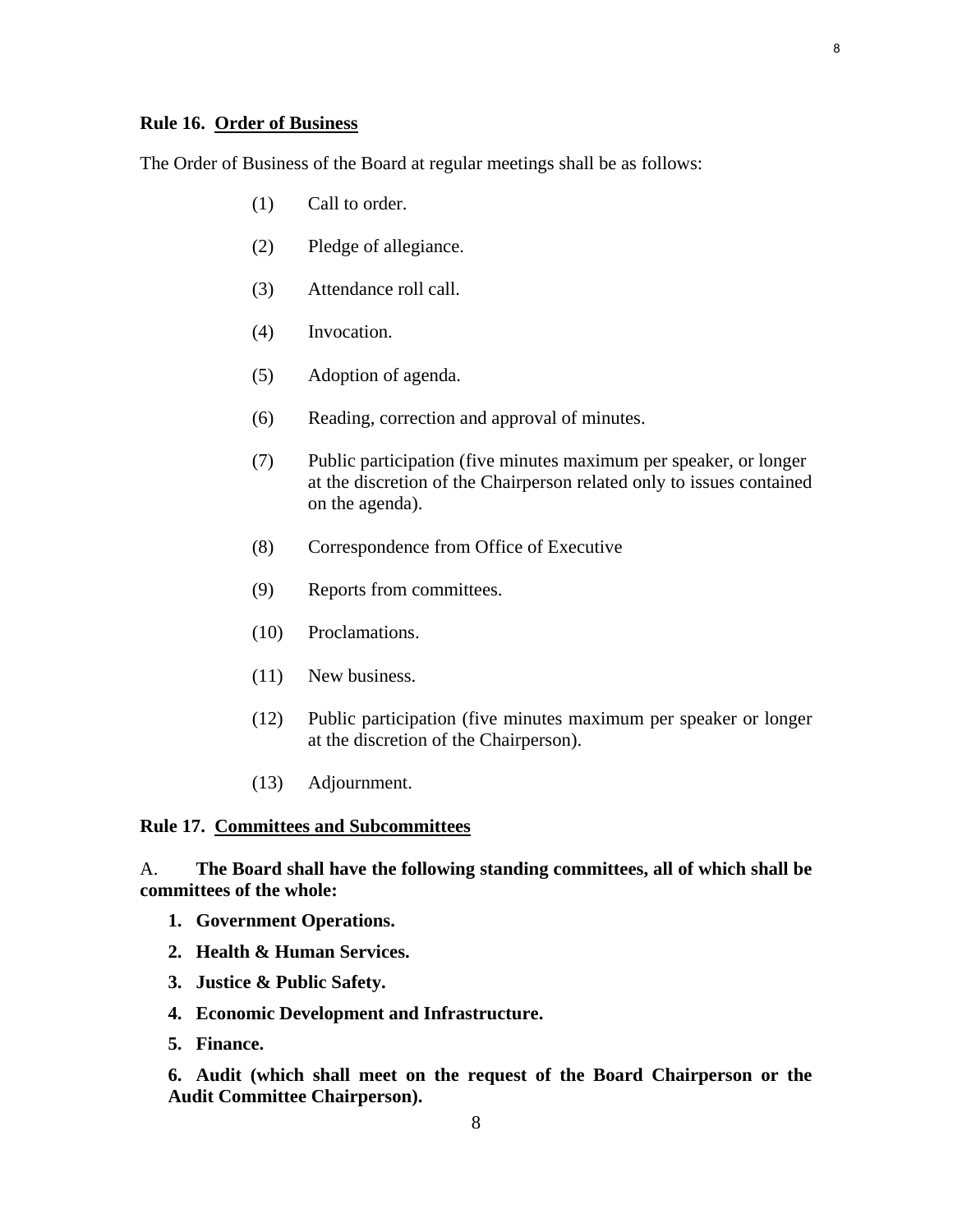# **Rule 16. Order of Business**

The Order of Business of the Board at regular meetings shall be as follows:

- (1) Call to order.
- (2) Pledge of allegiance.
- (3) Attendance roll call.
- (4) Invocation.
- (5) Adoption of agenda.
- (6) Reading, correction and approval of minutes.
- (7) Public participation (five minutes maximum per speaker, or longer at the discretion of the Chairperson related only to issues contained on the agenda).
- (8) Correspondence from Office of Executive
- (9) Reports from committees.
- (10) Proclamations.
- (11) New business.
- (12) Public participation (five minutes maximum per speaker or longer at the discretion of the Chairperson).
- (13) Adjournment.

## **Rule 17. Committees and Subcommittees**

A. **The Board shall have the following standing committees, all of which shall be committees of the whole:** 

- **1. Government Operations.**
- **2. Health & Human Services.**
- **3. Justice & Public Safety.**
- **4. Economic Development and Infrastructure.**
- **5. Finance.**

**6. Audit (which shall meet on the request of the Board Chairperson or the Audit Committee Chairperson).**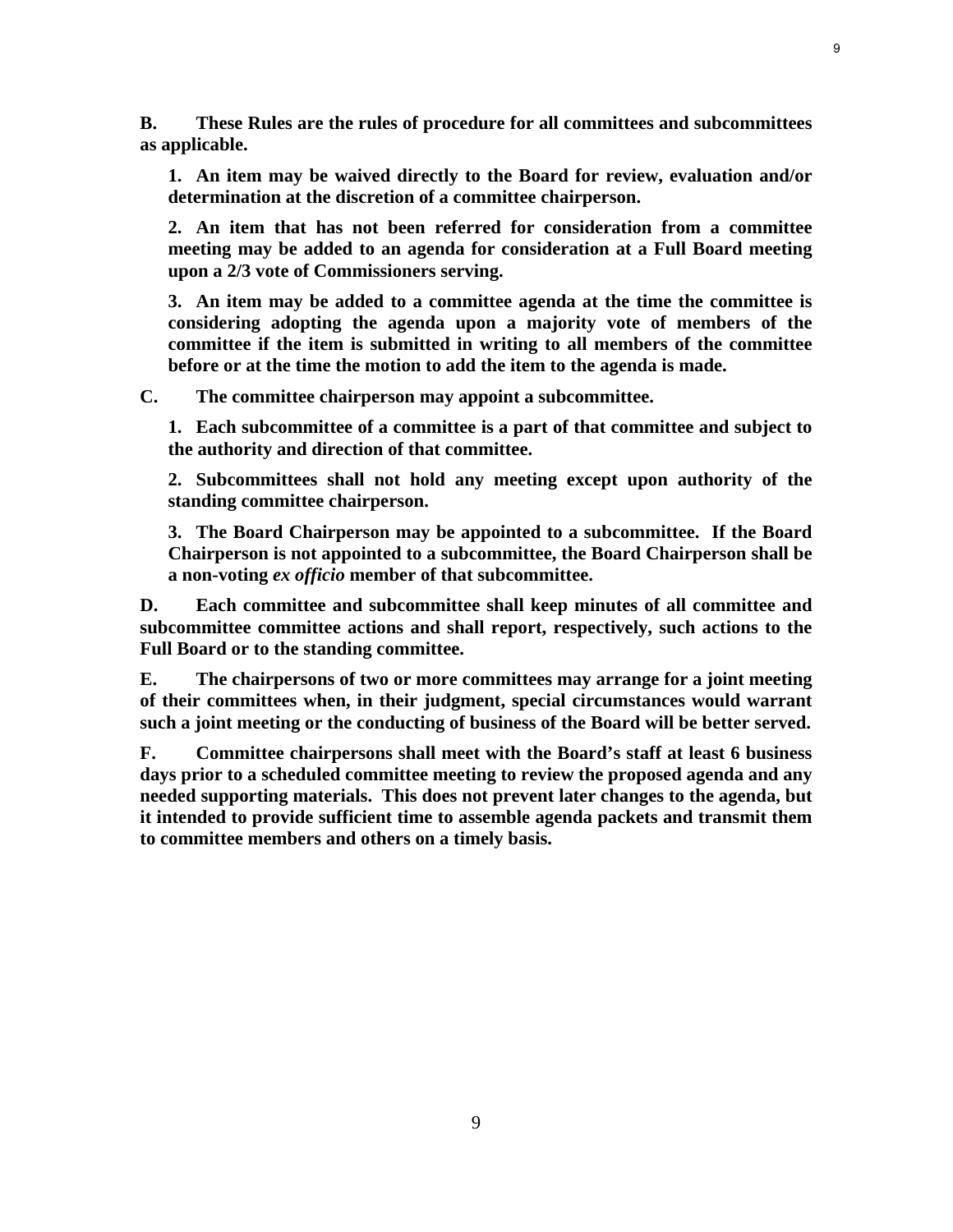**B. These Rules are the rules of procedure for all committees and subcommittees as applicable.** 

**1. An item may be waived directly to the Board for review, evaluation and/or determination at the discretion of a committee chairperson.** 

**2. An item that has not been referred for consideration from a committee meeting may be added to an agenda for consideration at a Full Board meeting upon a 2/3 vote of Commissioners serving.** 

**3. An item may be added to a committee agenda at the time the committee is considering adopting the agenda upon a majority vote of members of the committee if the item is submitted in writing to all members of the committee before or at the time the motion to add the item to the agenda is made.** 

**C. The committee chairperson may appoint a subcommittee.** 

**1. Each subcommittee of a committee is a part of that committee and subject to the authority and direction of that committee.** 

**2. Subcommittees shall not hold any meeting except upon authority of the standing committee chairperson.** 

**3. The Board Chairperson may be appointed to a subcommittee. If the Board Chairperson is not appointed to a subcommittee, the Board Chairperson shall be a non-voting** *ex officio* **member of that subcommittee.** 

**D. Each committee and subcommittee shall keep minutes of all committee and subcommittee committee actions and shall report, respectively, such actions to the Full Board or to the standing committee.** 

**E. The chairpersons of two or more committees may arrange for a joint meeting of their committees when, in their judgment, special circumstances would warrant such a joint meeting or the conducting of business of the Board will be better served.** 

**F. Committee chairpersons shall meet with the Board's staff at least 6 business days prior to a scheduled committee meeting to review the proposed agenda and any needed supporting materials. This does not prevent later changes to the agenda, but it intended to provide sufficient time to assemble agenda packets and transmit them to committee members and others on a timely basis.**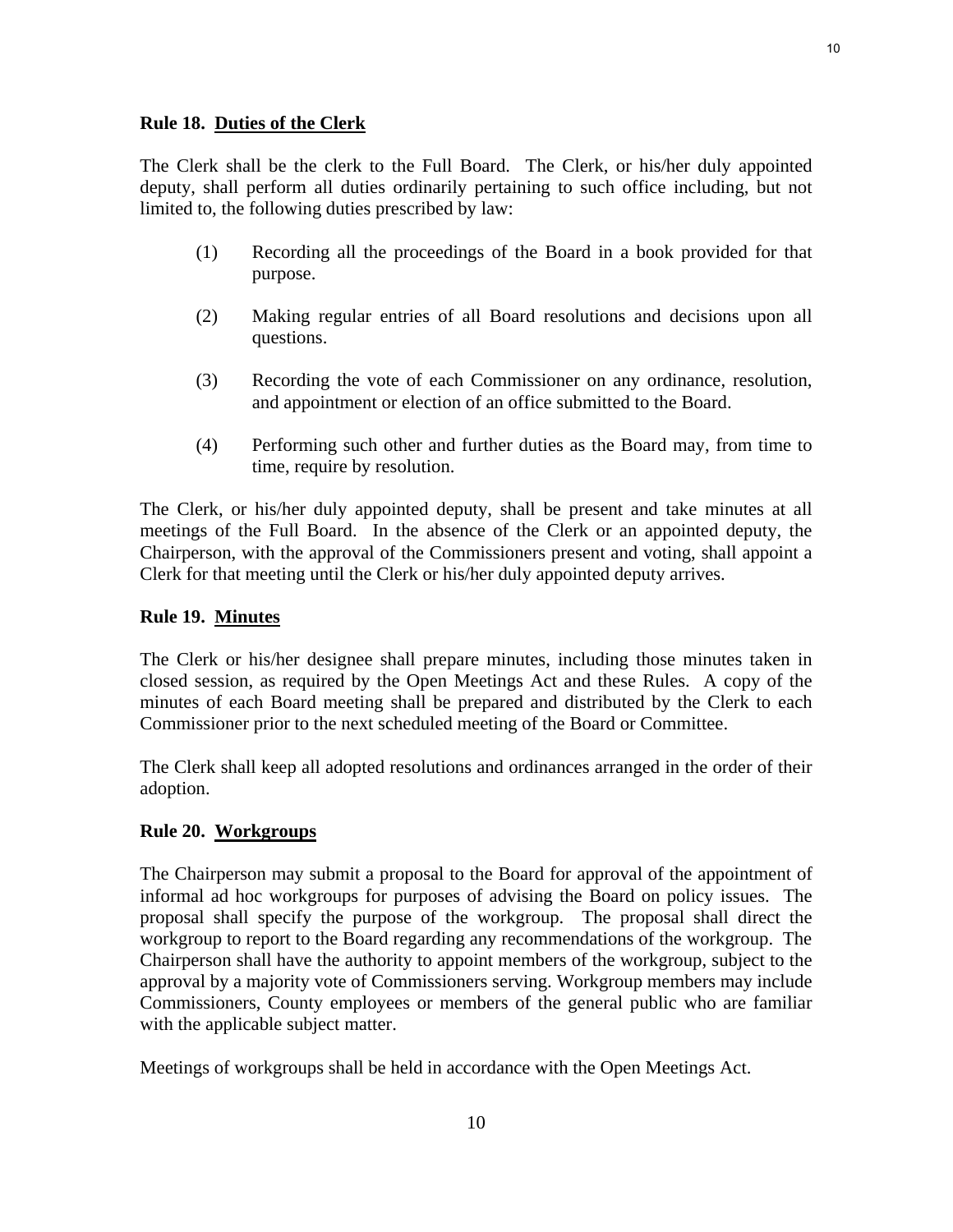The Clerk shall be the clerk to the Full Board. The Clerk, or his/her duly appointed deputy, shall perform all duties ordinarily pertaining to such office including, but not limited to, the following duties prescribed by law:

- (1) Recording all the proceedings of the Board in a book provided for that purpose.
- (2) Making regular entries of all Board resolutions and decisions upon all questions.
- (3) Recording the vote of each Commissioner on any ordinance, resolution, and appointment or election of an office submitted to the Board.
- (4) Performing such other and further duties as the Board may, from time to time, require by resolution.

The Clerk, or his/her duly appointed deputy, shall be present and take minutes at all meetings of the Full Board. In the absence of the Clerk or an appointed deputy, the Chairperson, with the approval of the Commissioners present and voting, shall appoint a Clerk for that meeting until the Clerk or his/her duly appointed deputy arrives.

# **Rule 19. Minutes**

The Clerk or his/her designee shall prepare minutes, including those minutes taken in closed session, as required by the Open Meetings Act and these Rules. A copy of the minutes of each Board meeting shall be prepared and distributed by the Clerk to each Commissioner prior to the next scheduled meeting of the Board or Committee.

The Clerk shall keep all adopted resolutions and ordinances arranged in the order of their adoption.

# **Rule 20. Workgroups**

The Chairperson may submit a proposal to the Board for approval of the appointment of informal ad hoc workgroups for purposes of advising the Board on policy issues. The proposal shall specify the purpose of the workgroup. The proposal shall direct the workgroup to report to the Board regarding any recommendations of the workgroup. The Chairperson shall have the authority to appoint members of the workgroup, subject to the approval by a majority vote of Commissioners serving. Workgroup members may include Commissioners, County employees or members of the general public who are familiar with the applicable subject matter.

Meetings of workgroups shall be held in accordance with the Open Meetings Act.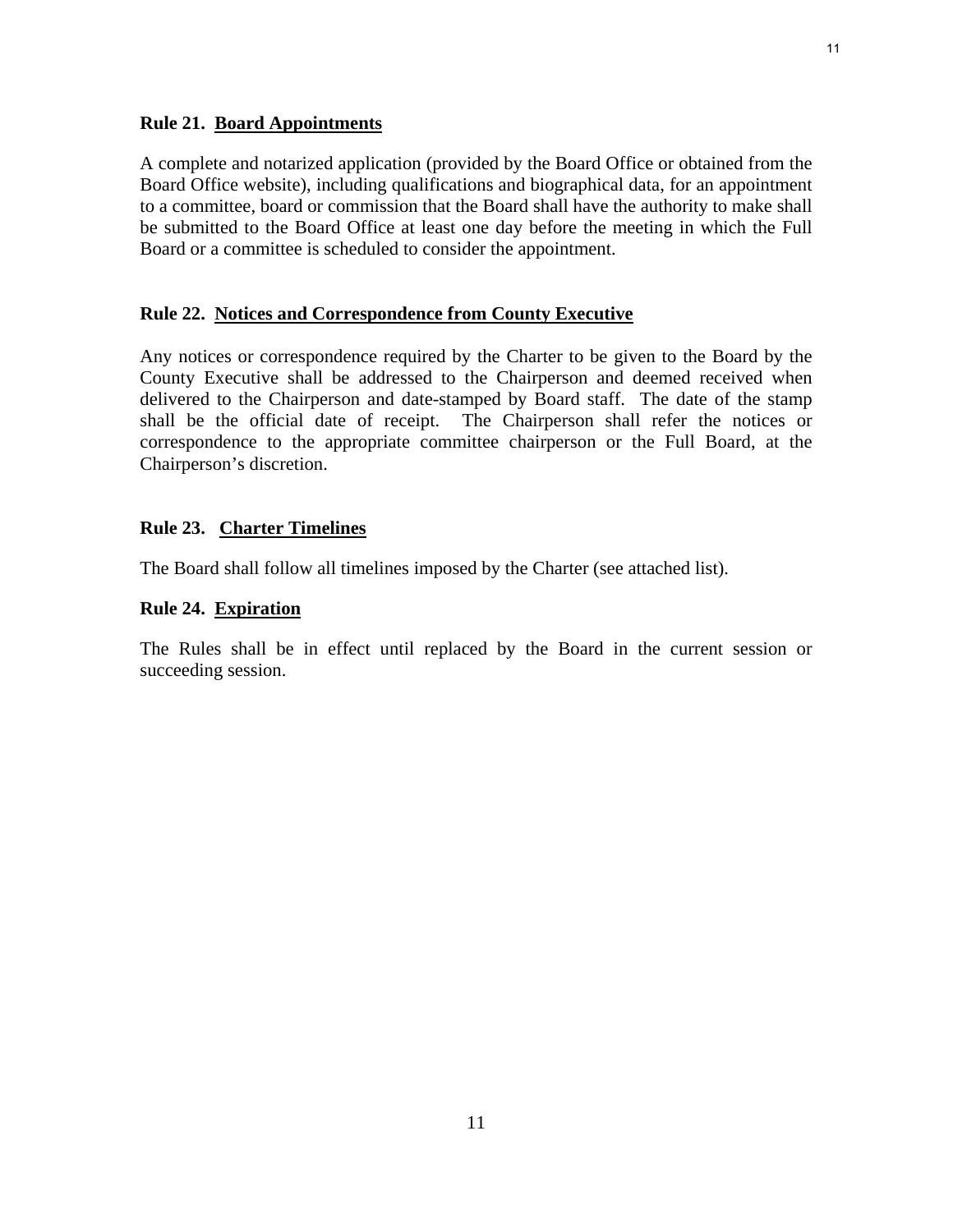## **Rule 21. Board Appointments**

A complete and notarized application (provided by the Board Office or obtained from the Board Office website), including qualifications and biographical data, for an appointment to a committee, board or commission that the Board shall have the authority to make shall be submitted to the Board Office at least one day before the meeting in which the Full Board or a committee is scheduled to consider the appointment.

# **Rule 22. Notices and Correspondence from County Executive**

Any notices or correspondence required by the Charter to be given to the Board by the County Executive shall be addressed to the Chairperson and deemed received when delivered to the Chairperson and date-stamped by Board staff. The date of the stamp shall be the official date of receipt. The Chairperson shall refer the notices or correspondence to the appropriate committee chairperson or the Full Board, at the Chairperson's discretion.

## **Rule 23. Charter Timelines**

The Board shall follow all timelines imposed by the Charter (see attached list).

#### **Rule 24. Expiration**

The Rules shall be in effect until replaced by the Board in the current session or succeeding session.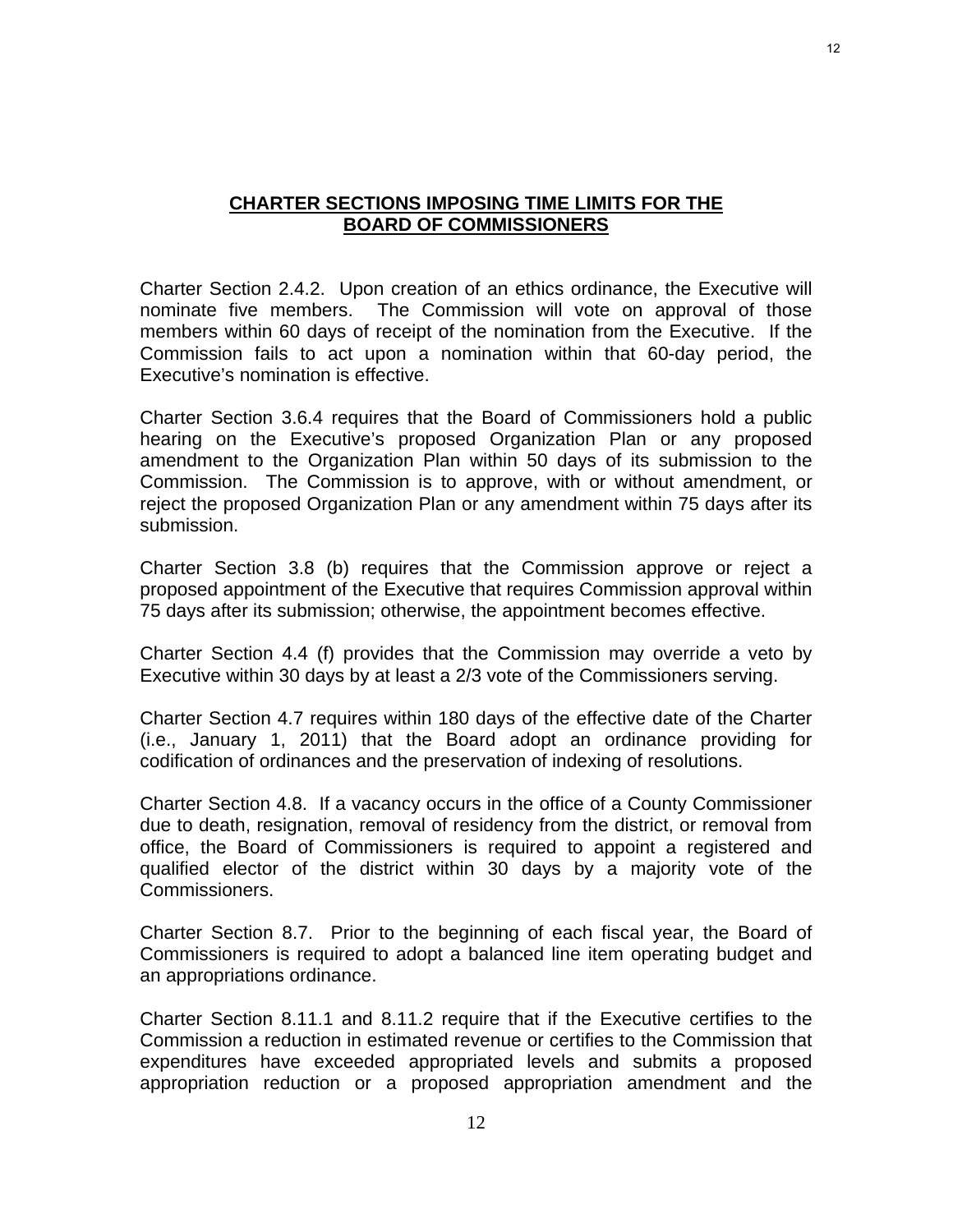# **CHARTER SECTIONS IMPOSING TIME LIMITS FOR THE BOARD OF COMMISSIONERS**

Charter Section 2.4.2. Upon creation of an ethics ordinance, the Executive will nominate five members. The Commission will vote on approval of those members within 60 days of receipt of the nomination from the Executive. If the Commission fails to act upon a nomination within that 60-day period, the Executive's nomination is effective.

Charter Section 3.6.4 requires that the Board of Commissioners hold a public hearing on the Executive's proposed Organization Plan or any proposed amendment to the Organization Plan within 50 days of its submission to the Commission. The Commission is to approve, with or without amendment, or reject the proposed Organization Plan or any amendment within 75 days after its submission.

Charter Section 3.8 (b) requires that the Commission approve or reject a proposed appointment of the Executive that requires Commission approval within 75 days after its submission; otherwise, the appointment becomes effective.

Charter Section 4.4 (f) provides that the Commission may override a veto by Executive within 30 days by at least a 2/3 vote of the Commissioners serving.

Charter Section 4.7 requires within 180 days of the effective date of the Charter (i.e., January 1, 2011) that the Board adopt an ordinance providing for codification of ordinances and the preservation of indexing of resolutions.

Charter Section 4.8. If a vacancy occurs in the office of a County Commissioner due to death, resignation, removal of residency from the district, or removal from office, the Board of Commissioners is required to appoint a registered and qualified elector of the district within 30 days by a majority vote of the Commissioners.

Charter Section 8.7. Prior to the beginning of each fiscal year, the Board of Commissioners is required to adopt a balanced line item operating budget and an appropriations ordinance.

Charter Section 8.11.1 and 8.11.2 require that if the Executive certifies to the Commission a reduction in estimated revenue or certifies to the Commission that expenditures have exceeded appropriated levels and submits a proposed appropriation reduction or a proposed appropriation amendment and the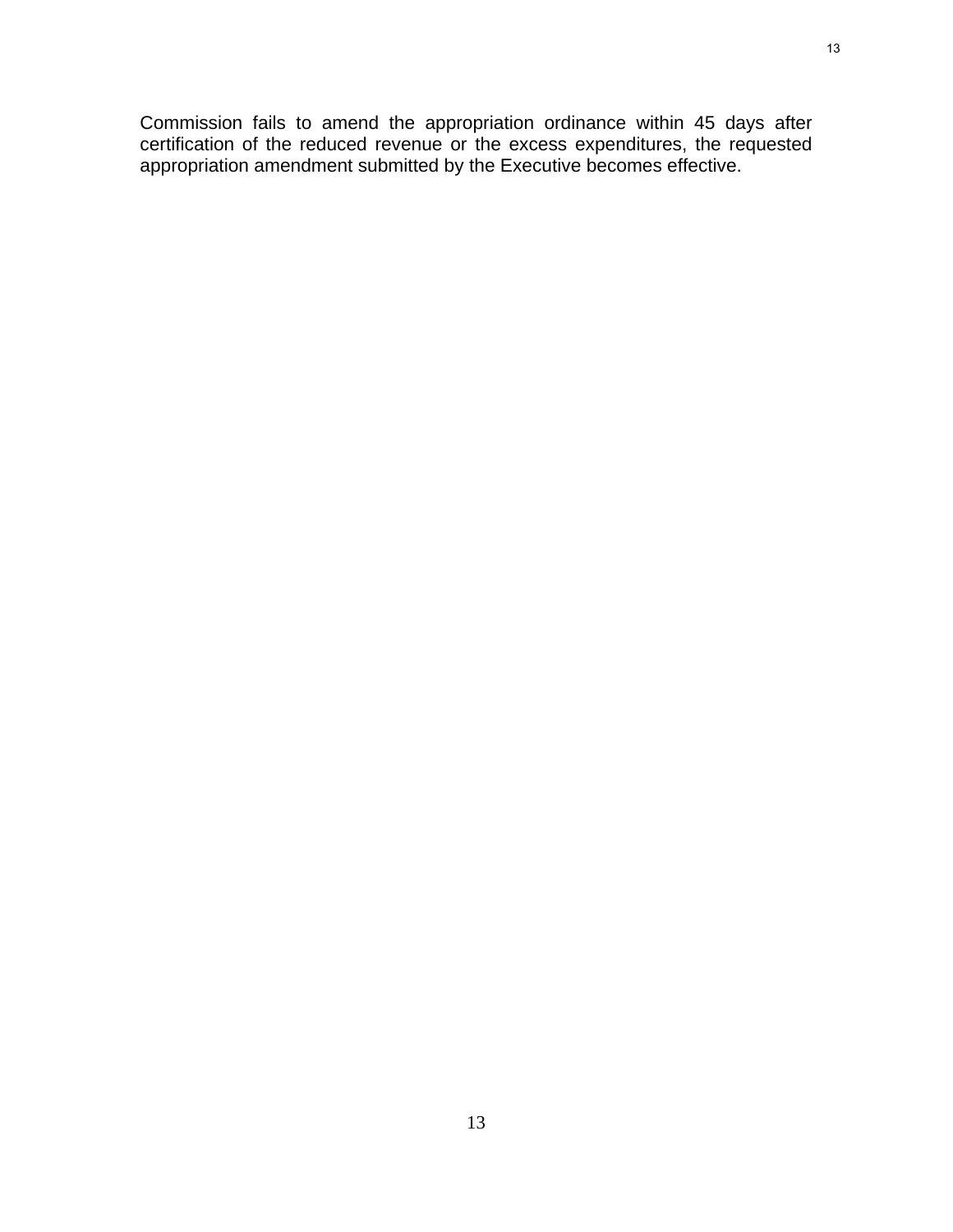Commission fails to amend the appropriation ordinance within 45 days after certification of the reduced revenue or the excess expenditures, the requested appropriation amendment submitted by the Executive becomes effective.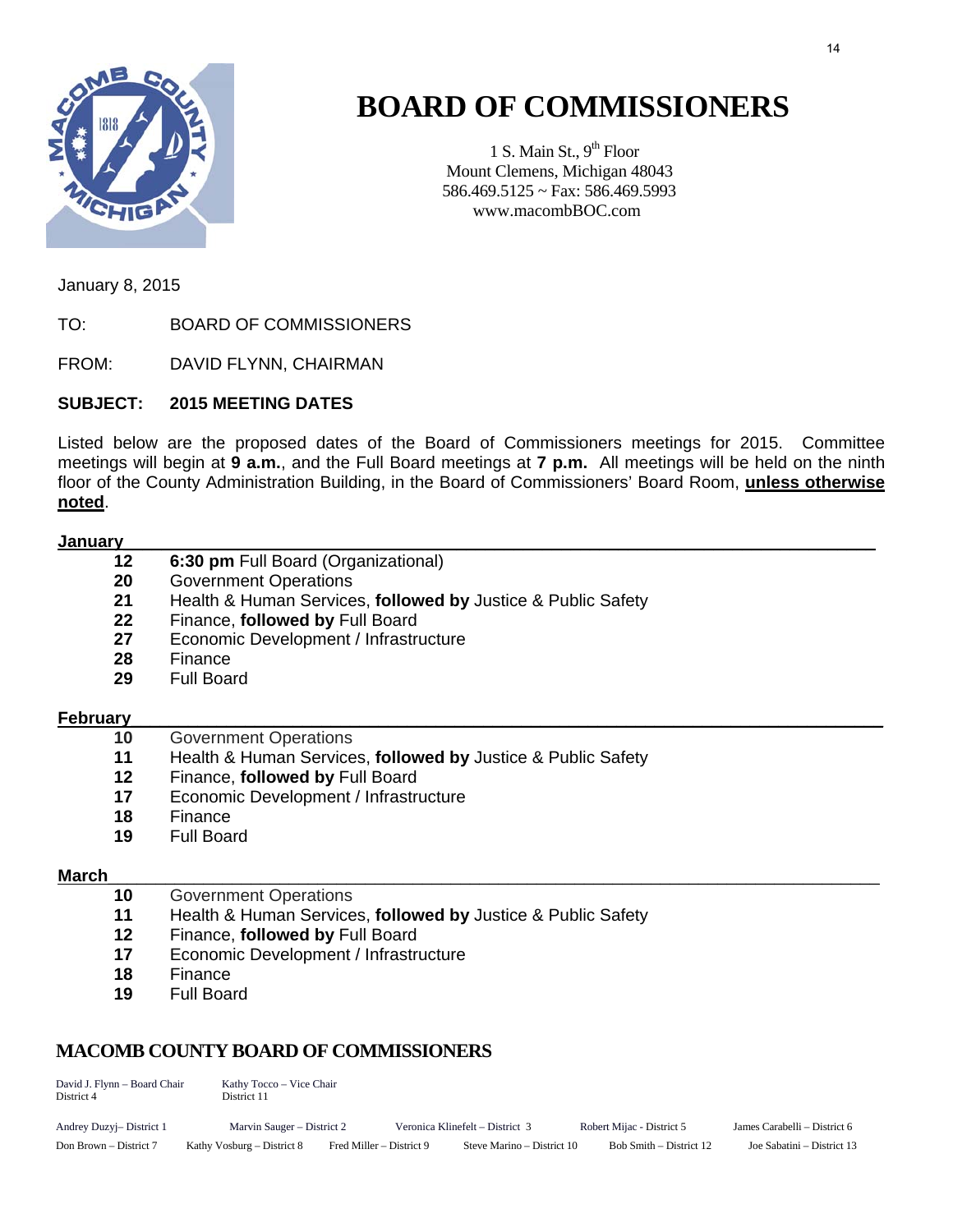

# **BOARD OF COMMISSIONERS**

1 S. Main St.,  $9<sup>th</sup>$  Floor Mount Clemens, Michigan 48043 586.469.5125 ~ Fax: 586.469.5993 www.macombBOC.com

January 8, 2015

TO: BOARD OF COMMISSIONERS

FROM: DAVID FLYNN, CHAIRMAN

# **SUBJECT: 2015 MEETING DATES**

Listed below are the proposed dates of the Board of Commissioners meetings for 2015. Committee meetings will begin at **9 a.m.**, and the Full Board meetings at **7 p.m.** All meetings will be held on the ninth floor of the County Administration Building, in the Board of Commissioners' Board Room, **unless otherwise noted**.

#### **January**

- **12 6:30 pm** Full Board (Organizational)
- **20** Government Operations
- **21** Health & Human Services, **followed by** Justice & Public Safety
- **22** Finance, **followed by** Full Board
- **27** Economic Development / Infrastructure
- **28** Finance
- **29** Full Board

# **February**

- **10** Government Operations
- **11** Health & Human Services, **followed by** Justice & Public Safety
- 12 Finance, **followed by** Full Board<br>17 Economic Development / Infrastru
- **Economic Development / Infrastructure**
- **18** Finance
- **19** Full Board

# **March**\_\_\_\_\_\_\_\_\_\_\_\_\_\_\_\_\_\_\_\_\_\_\_\_\_\_\_\_\_\_\_\_\_\_\_\_\_\_\_\_\_\_\_\_\_\_\_\_\_\_\_\_\_\_\_\_\_\_\_\_\_\_\_\_\_\_\_\_\_\_\_\_\_\_\_\_\_\_\_\_\_

- **10** Government Operations
- **11** Health & Human Services, **followed by** Justice & Public Safety
- **12** Finance, **followed by** Full Board
- **17** Economic Development / Infrastructure
- **18** Finance
- **19** Full Board

# **MACOMB COUNTY BOARD OF COMMISSIONERS**

| David J. Flynn - Board Chair<br>District 4 | Kathy Tocco – Vice Chair<br>District 11 |                          |                                 |                           |                              |  |
|--------------------------------------------|-----------------------------------------|--------------------------|---------------------------------|---------------------------|------------------------------|--|
| Andrey Duzyj-District 1                    | Marvin Sauger – District 2              |                          | Veronica Klinefelt – District 3 | Robert Mijac - District 5 | James Carabelli – District 6 |  |
| Don Brown – District 7                     | Kathy Vosburg – District 8              | Fred Miller – District 9 | Steve Marino – District 10      | Bob Smith – District 12   | Joe Sabatini – District 13   |  |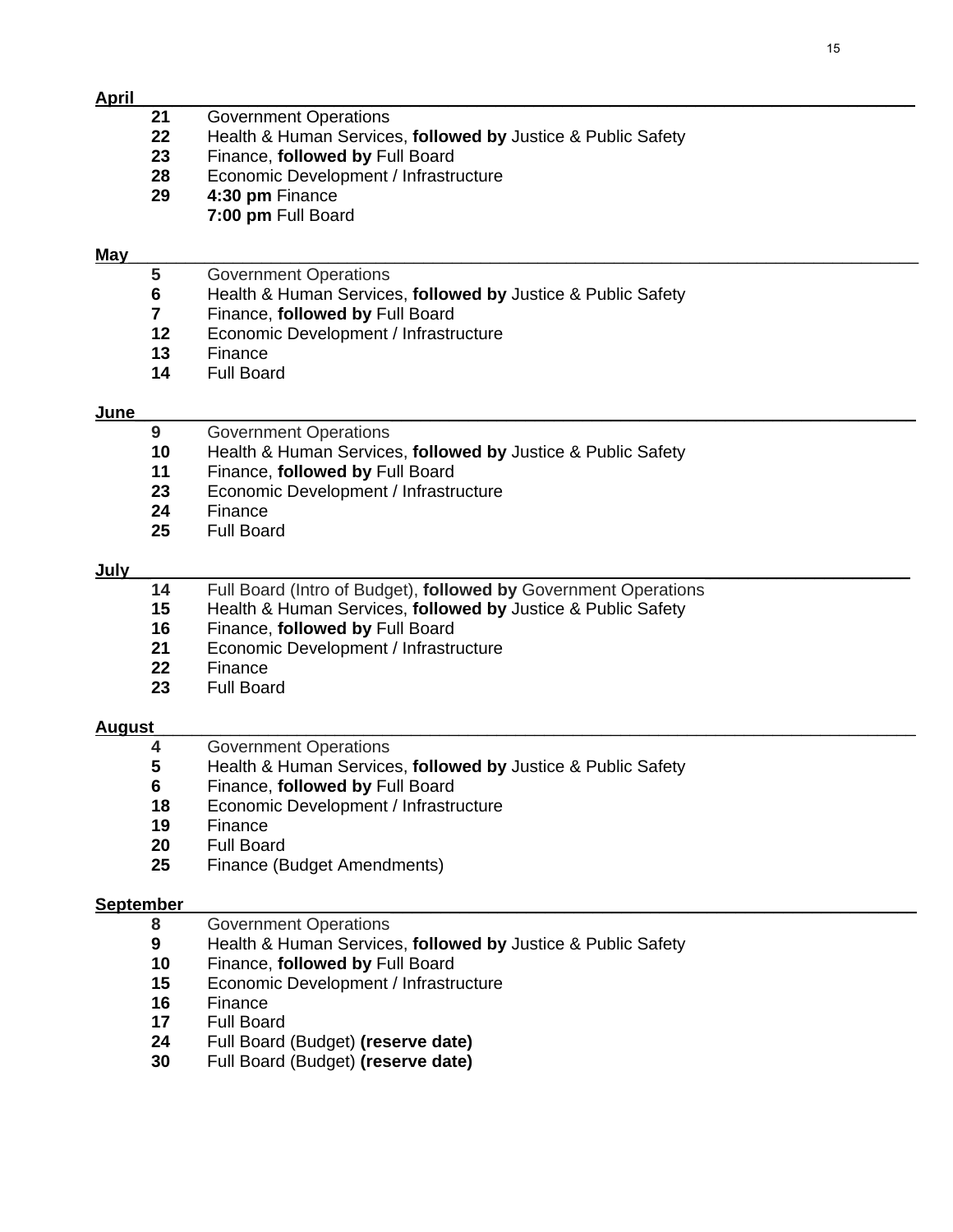| <u>April</u> |                         |                                                                 |
|--------------|-------------------------|-----------------------------------------------------------------|
|              | 21                      | <b>Government Operations</b>                                    |
|              | 22                      | Health & Human Services, followed by Justice & Public Safety    |
|              | 23                      | Finance, followed by Full Board                                 |
|              | 28                      | Economic Development / Infrastructure                           |
|              | 29                      | 4:30 pm Finance                                                 |
|              |                         | 7:00 pm Full Board                                              |
|              |                         |                                                                 |
| May          |                         |                                                                 |
|              | 5                       | <b>Government Operations</b>                                    |
|              | $\bf 6$                 | Health & Human Services, followed by Justice & Public Safety    |
|              | $\overline{\mathbf{7}}$ | Finance, followed by Full Board                                 |
|              | 12                      | Economic Development / Infrastructure                           |
|              | 13                      | Finance                                                         |
|              | 14                      | <b>Full Board</b>                                               |
|              |                         |                                                                 |
| June         |                         |                                                                 |
|              | 9                       | <b>Government Operations</b>                                    |
|              | 10                      | Health & Human Services, followed by Justice & Public Safety    |
|              | 11                      | Finance, followed by Full Board                                 |
|              | 23                      | Economic Development / Infrastructure                           |
|              | 24                      | Finance                                                         |
|              | 25                      | <b>Full Board</b>                                               |
|              |                         |                                                                 |
| <u>July</u>  |                         |                                                                 |
|              | 14                      | Full Board (Intro of Budget), followed by Government Operations |
|              | 15                      | Health & Human Services, followed by Justice & Public Safety    |
|              | 16                      | Finance, followed by Full Board                                 |
|              | 21                      | Economic Development / Infrastructure                           |
|              | 22                      | Finance                                                         |
|              | 23                      | <b>Full Board</b>                                               |
| August       |                         |                                                                 |
|              | 4                       | <b>Government Operations</b>                                    |
|              | 5                       | Health & Human Services, followed by Justice & Public Safety    |
|              | 6                       | Finance, followed by Full Board                                 |
|              | 18                      | Economic Development / Infrastructure                           |
|              | 19                      | Finance                                                         |
|              | 20                      | <b>Full Board</b>                                               |
|              | 25                      | Finance (Budget Amendments)                                     |
|              |                         |                                                                 |
| September    |                         |                                                                 |
|              | 8                       | <b>Government Operations</b>                                    |
|              | 9                       | Health & Human Services, followed by Justice & Public Safety    |
|              | 10                      | Finance, followed by Full Board                                 |
|              | 15                      | Economic Development / Infrastructure                           |
|              | 16                      | Finance                                                         |
|              | 17                      | <b>Full Board</b>                                               |
|              | 24                      | Full Board (Budget) (reserve date)                              |
|              | 30                      | Full Board (Budget) (reserve date)                              |
|              |                         |                                                                 |
|              |                         |                                                                 |
|              |                         |                                                                 |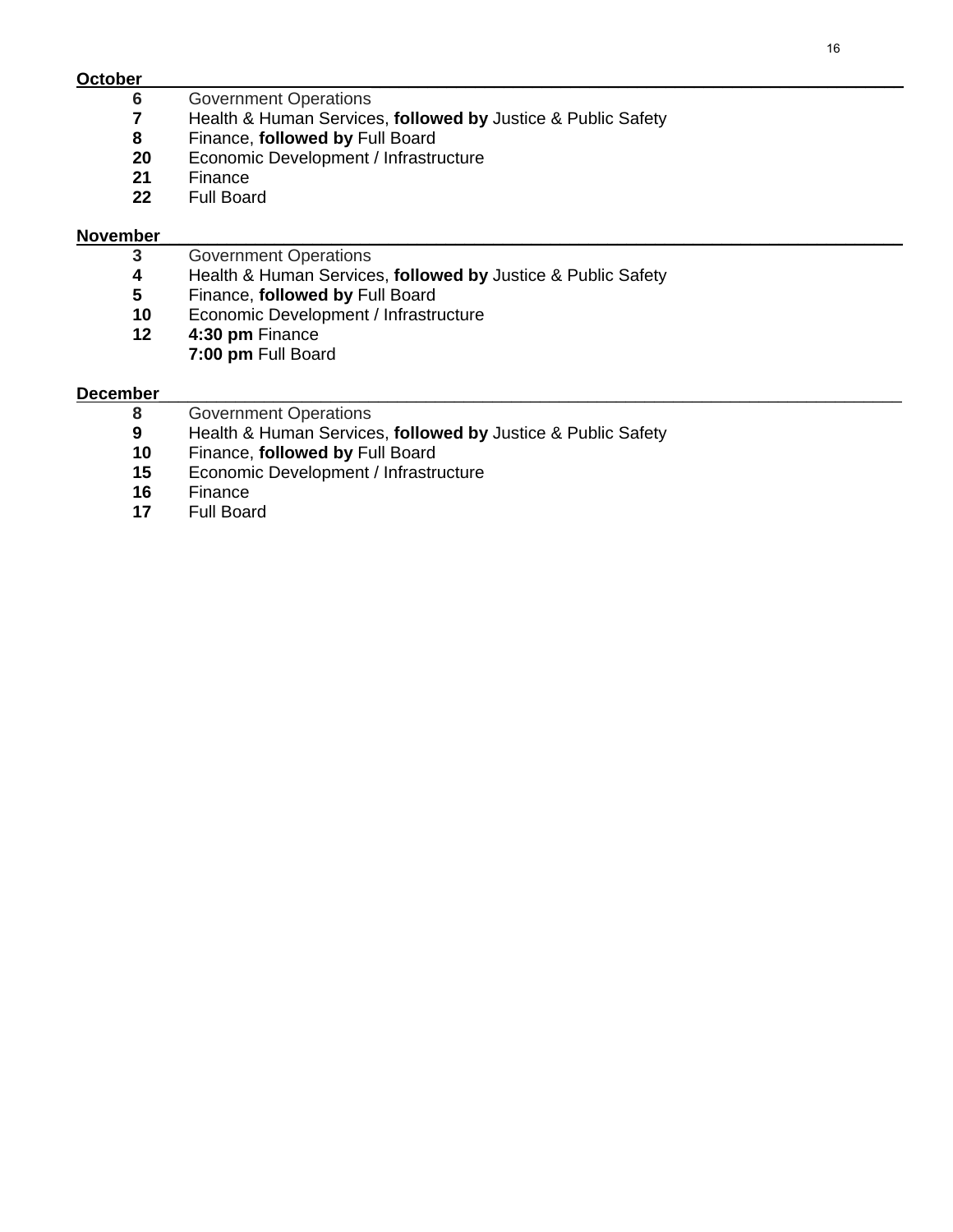**October**\_\_\_\_\_\_\_\_\_\_\_\_\_\_\_\_\_\_\_\_\_\_\_\_\_\_\_\_\_\_\_\_\_\_\_\_\_\_\_\_\_\_\_\_\_\_\_\_\_\_\_\_\_\_\_\_\_\_\_\_\_\_\_\_\_\_\_\_\_\_\_\_\_\_\_\_\_\_\_\_

- **6** Government Operations<br>**7** Health & Human Service
- Health & Human Services, **followed by** Justice & Public Safety
- Finance, **followed by** Full Board
- Economic Development / Infrastructure
- Finance
- Full Board

#### **November**\_\_\_\_\_\_\_\_\_\_\_\_\_\_\_\_\_\_\_\_\_\_\_\_\_\_\_\_\_\_\_\_\_\_\_\_\_\_\_\_\_\_\_\_\_\_\_\_\_\_\_\_\_\_\_\_\_\_\_\_\_\_\_\_\_\_\_\_\_\_\_\_\_\_\_\_\_\_

- **3** Government Operations<br>**4** Health & Human Service
- Health & Human Services, **followed by** Justice & Public Safety
- Finance, **followed by** Full Board
- Economic Development / Infrastructure
- **4:30 pm** Finance
	- **7:00 pm** Full Board

#### **December**\_\_\_\_\_\_\_\_\_\_\_\_\_\_\_\_\_\_\_\_\_\_\_\_\_\_\_\_\_\_\_\_\_\_\_\_\_\_\_\_\_\_\_\_\_\_\_\_\_\_\_\_\_\_\_\_\_\_\_\_\_\_\_\_\_\_\_\_\_\_\_\_\_\_\_\_\_\_

- Government Operations
- Health & Human Services, **followed by** Justice & Public Safety
- Finance, **followed by** Full Board
- Economic Development / Infrastructure
- Finance
- Full Board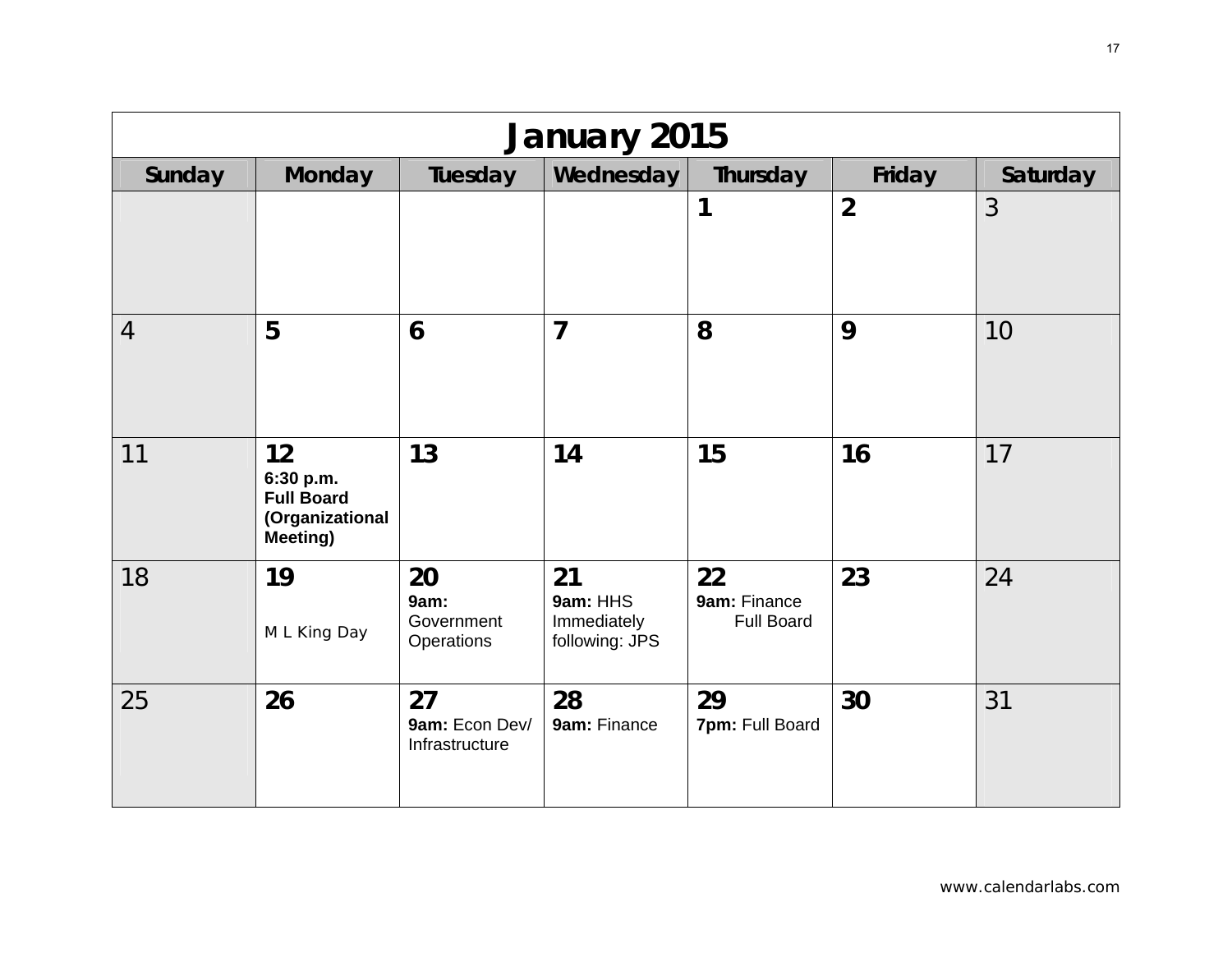| <b>January 2015</b> |                                                                             |                                        |                                                 |                                         |                |          |  |  |  |
|---------------------|-----------------------------------------------------------------------------|----------------------------------------|-------------------------------------------------|-----------------------------------------|----------------|----------|--|--|--|
| Sunday              | <b>Monday</b>                                                               | Tuesday                                | Wednesday                                       | Thursday                                | Friday         | Saturday |  |  |  |
|                     |                                                                             |                                        |                                                 | 1                                       | $\overline{2}$ | 3        |  |  |  |
| $\overline{4}$      | 5                                                                           | 6                                      | $\overline{7}$                                  | 8                                       | 9              | 10       |  |  |  |
| 11                  | 12<br>6:30 p.m.<br><b>Full Board</b><br>(Organizational<br><b>Meeting</b> ) | 13                                     | 14                                              | 15                                      | 16             | 17       |  |  |  |
| 18                  | 19<br>M L King Day                                                          | 20<br>9am:<br>Government<br>Operations | 21<br>9am: HHS<br>Immediately<br>following: JPS | 22<br>9am: Finance<br><b>Full Board</b> | 23             | 24       |  |  |  |
| 25                  | 26                                                                          | 27<br>9am: Econ Dev/<br>Infrastructure | 28<br>9am: Finance                              | 29<br>7pm: Full Board                   | 30             | 31       |  |  |  |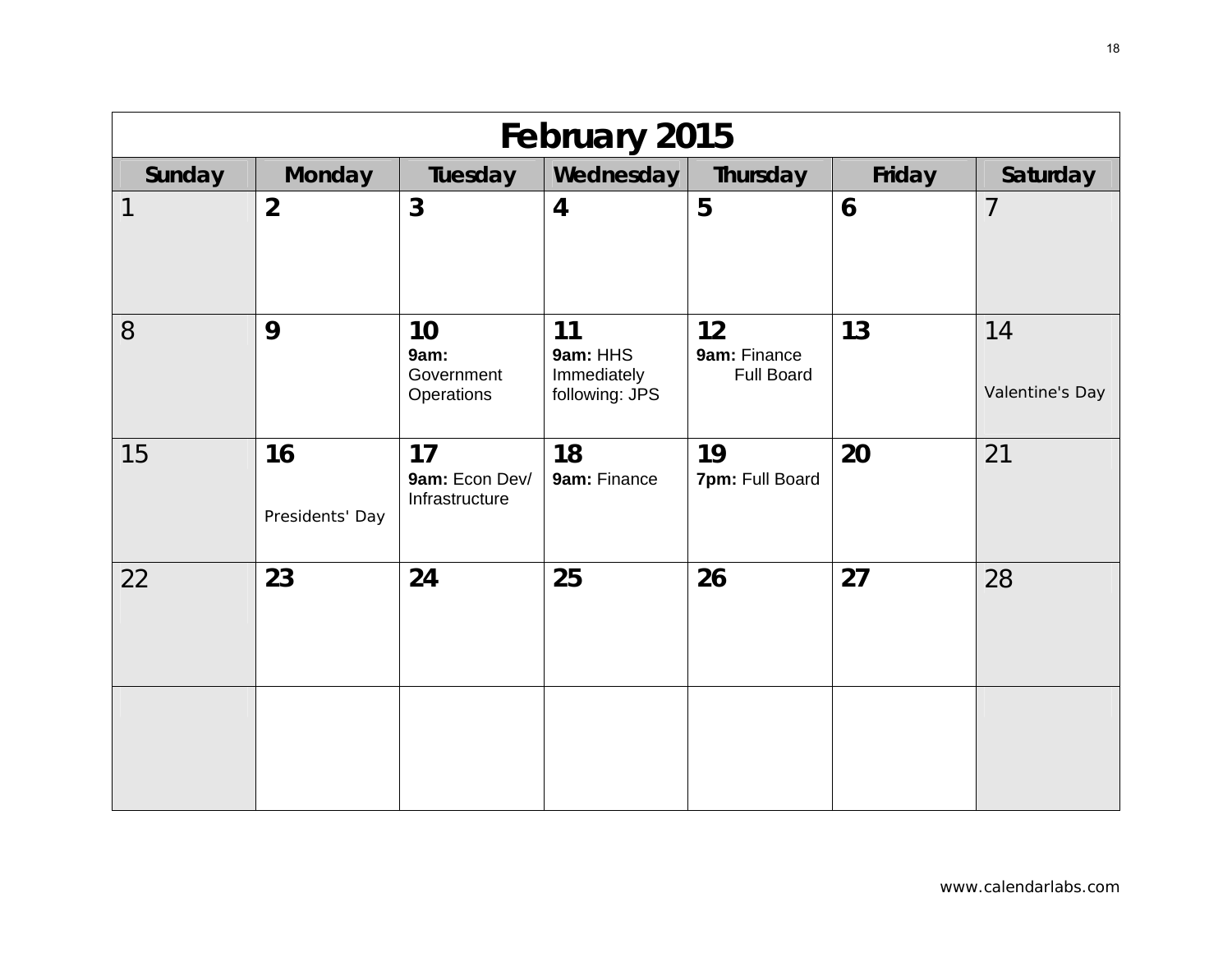| February 2015 |                       |                                        |                                                 |                                         |        |                       |  |  |  |
|---------------|-----------------------|----------------------------------------|-------------------------------------------------|-----------------------------------------|--------|-----------------------|--|--|--|
| Sunday        | <b>Monday</b>         | Tuesday                                | Wednesday                                       | Thursday                                | Friday | Saturday              |  |  |  |
| 1             | $\overline{2}$        | $\mathbf{3}$                           | $\overline{4}$                                  | 5                                       | 6      | $\overline{7}$        |  |  |  |
| 8             | 9                     | 10<br>9am:<br>Government<br>Operations | 11<br>9am: HHS<br>Immediately<br>following: JPS | 12<br>9am: Finance<br><b>Full Board</b> | 13     | 14<br>Valentine's Day |  |  |  |
| 15            | 16<br>Presidents' Day | 17<br>9am: Econ Dev/<br>Infrastructure | 18<br>9am: Finance                              | 19<br>7pm: Full Board                   | 20     | 21                    |  |  |  |
| 22            | 23                    | 24                                     | 25                                              | 26                                      | 27     | 28                    |  |  |  |
|               |                       |                                        |                                                 |                                         |        |                       |  |  |  |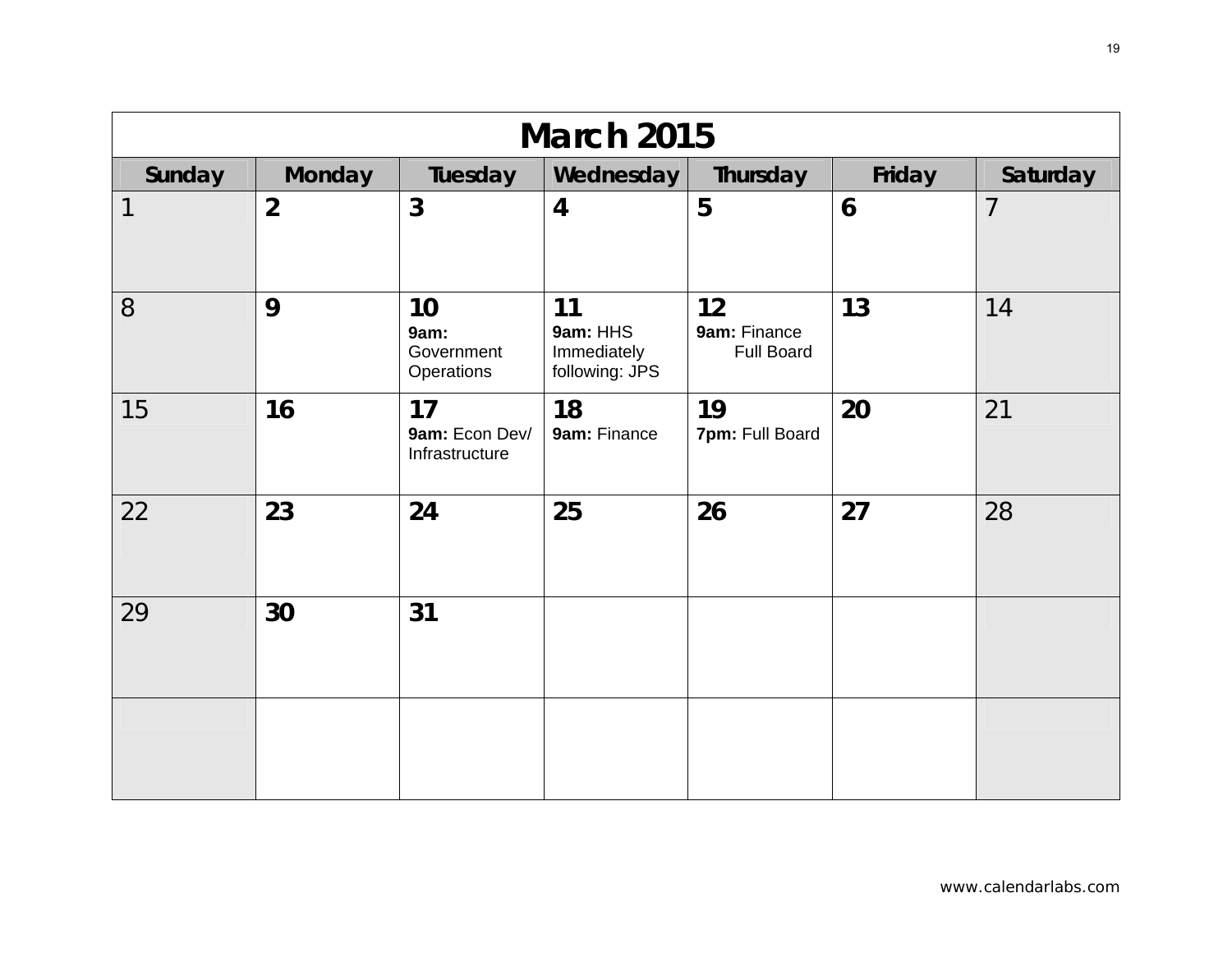| <b>March 2015</b>        |                |                                        |                                                 |                                         |        |                |  |  |  |
|--------------------------|----------------|----------------------------------------|-------------------------------------------------|-----------------------------------------|--------|----------------|--|--|--|
| Sunday                   | <b>Monday</b>  | Tuesday                                | Wednesday                                       | Thursday                                | Friday | Saturday       |  |  |  |
| $\overline{\mathcal{L}}$ | $\overline{2}$ | $\overline{3}$                         | $\overline{4}$                                  | 5                                       | 6      | $\overline{7}$ |  |  |  |
| 8                        | 9              | 10<br>9am:<br>Government<br>Operations | 11<br>9am: HHS<br>Immediately<br>following: JPS | 12<br>9am: Finance<br><b>Full Board</b> | 13     | 14             |  |  |  |
| 15                       | 16             | 17<br>9am: Econ Dev/<br>Infrastructure | 18<br>9am: Finance                              | 19<br>7pm: Full Board                   | 20     | 21             |  |  |  |
| 22                       | 23             | 24                                     | 25                                              | 26                                      | 27     | 28             |  |  |  |
| 29                       | 30             | 31                                     |                                                 |                                         |        |                |  |  |  |
|                          |                |                                        |                                                 |                                         |        |                |  |  |  |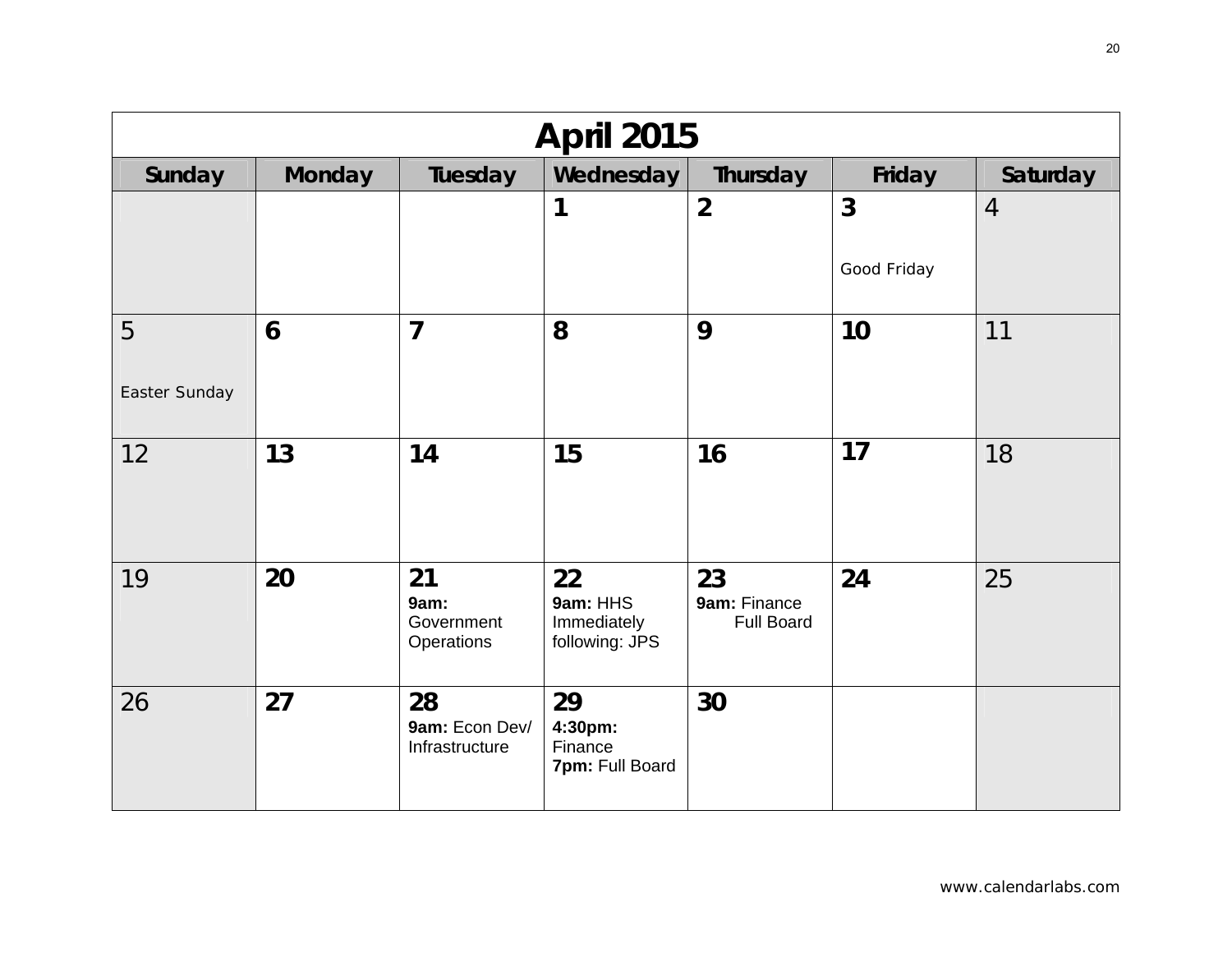| <b>April 2015</b>  |               |                                        |                                                 |                                         |                               |                |  |  |  |
|--------------------|---------------|----------------------------------------|-------------------------------------------------|-----------------------------------------|-------------------------------|----------------|--|--|--|
| Sunday             | <b>Monday</b> | Tuesday                                | Wednesday                                       | Thursday                                | Friday                        | Saturday       |  |  |  |
|                    |               |                                        | 1                                               | $\overline{2}$                          | $\overline{3}$<br>Good Friday | $\overline{4}$ |  |  |  |
| 5<br>Easter Sunday | 6             | $\overline{7}$                         | 8                                               | 9                                       | 10                            | 11             |  |  |  |
| 12                 | 13            | 14                                     | 15                                              | 16                                      | 17                            | 18             |  |  |  |
| 19                 | 20            | 21<br>9am:<br>Government<br>Operations | 22<br>9am: HHS<br>Immediately<br>following: JPS | 23<br>9am: Finance<br><b>Full Board</b> | 24                            | 25             |  |  |  |
| 26                 | 27            | 28<br>9am: Econ Dev/<br>Infrastructure | 29<br>4:30pm:<br>Finance<br>7pm: Full Board     | 30                                      |                               |                |  |  |  |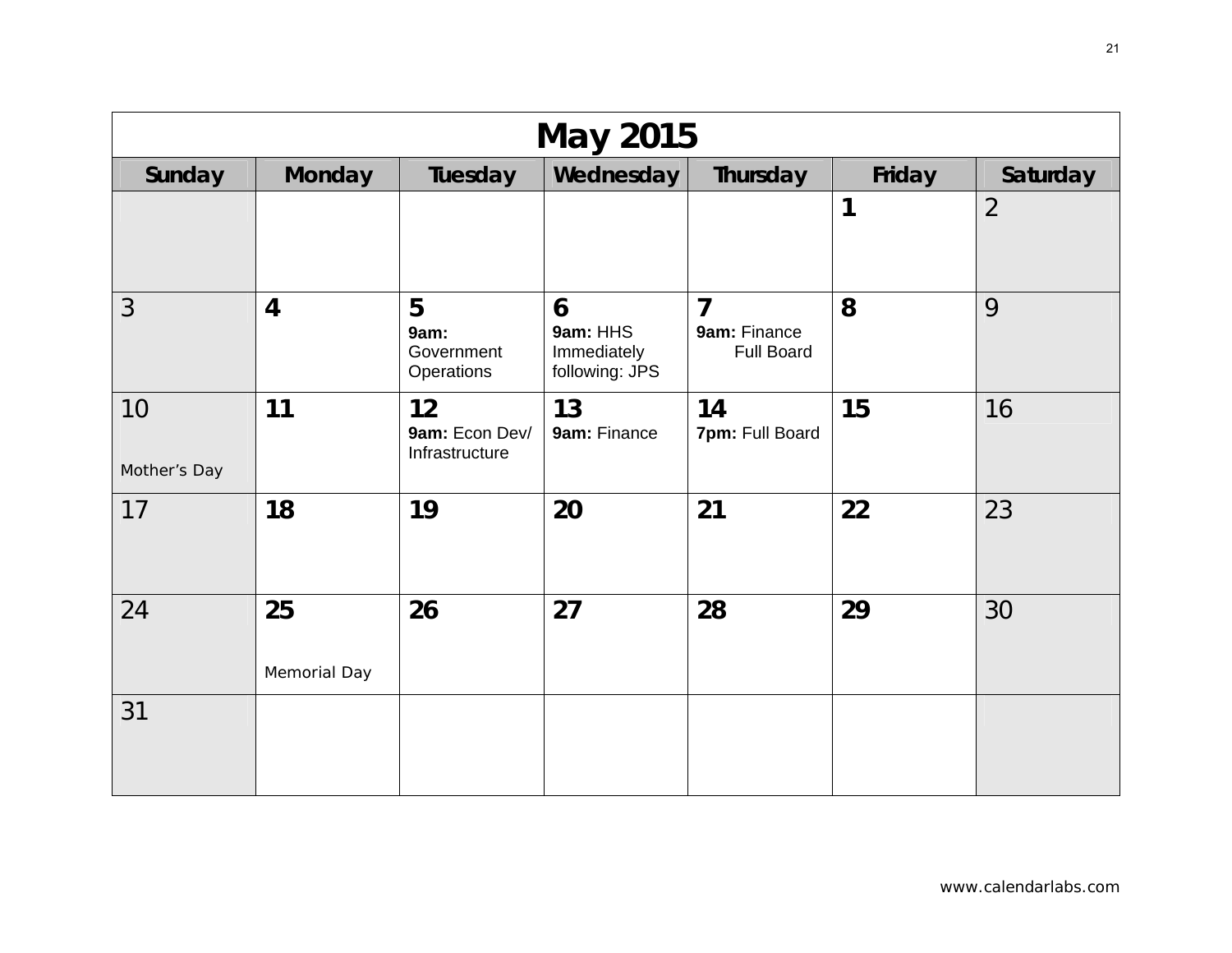| <b>May 2015</b>    |                    |                                        |                                                |                                                     |        |                |  |  |  |
|--------------------|--------------------|----------------------------------------|------------------------------------------------|-----------------------------------------------------|--------|----------------|--|--|--|
| Sunday             | <b>Monday</b>      | Tuesday                                | Wednesday                                      | Thursday                                            | Friday | Saturday       |  |  |  |
|                    |                    |                                        |                                                |                                                     | 1      | $\overline{2}$ |  |  |  |
| 3                  | $\overline{4}$     | 5<br>9am:<br>Government<br>Operations  | 6<br>9am: HHS<br>Immediately<br>following: JPS | $\overline{7}$<br>9am: Finance<br><b>Full Board</b> | 8      | 9              |  |  |  |
| 10<br>Mother's Day | 11                 | 12<br>9am: Econ Dev/<br>Infrastructure | 13<br>9am: Finance                             | 14<br>7pm: Full Board                               | 15     | 16             |  |  |  |
| 17                 | 18                 | 19                                     | 20                                             | 21                                                  | 22     | 23             |  |  |  |
| 24                 | 25<br>Memorial Day | 26                                     | 27                                             | 28                                                  | 29     | 30             |  |  |  |
| 31                 |                    |                                        |                                                |                                                     |        |                |  |  |  |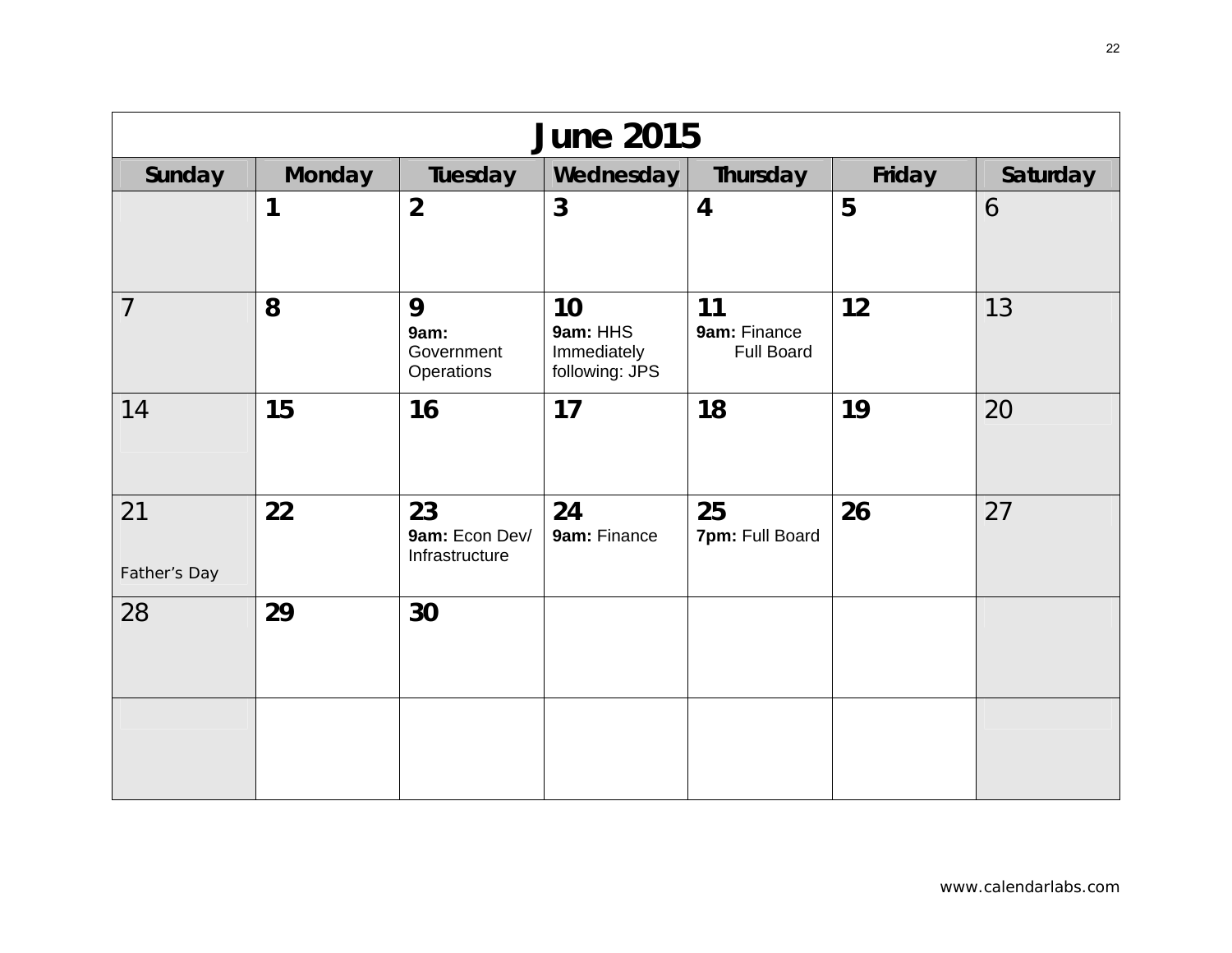| <b>June 2015</b>   |               |                                        |                                                 |                                         |        |          |  |  |  |
|--------------------|---------------|----------------------------------------|-------------------------------------------------|-----------------------------------------|--------|----------|--|--|--|
| Sunday             | <b>Monday</b> | Tuesday                                | Wednesday                                       | Thursday                                | Friday | Saturday |  |  |  |
|                    | 1             | $\overline{2}$                         | 3                                               | $\overline{4}$                          | 5      | 6        |  |  |  |
| $\overline{7}$     | 8             | 9<br>9am:<br>Government<br>Operations  | 10<br>9am: HHS<br>Immediately<br>following: JPS | 11<br>9am: Finance<br><b>Full Board</b> | 12     | 13       |  |  |  |
| 14                 | 15            | 16                                     | 17                                              | 18                                      | 19     | 20       |  |  |  |
| 21<br>Father's Day | 22            | 23<br>9am: Econ Dev/<br>Infrastructure | 24<br>9am: Finance                              | 25<br>7pm: Full Board                   | 26     | 27       |  |  |  |
| 28                 | 29            | 30                                     |                                                 |                                         |        |          |  |  |  |
|                    |               |                                        |                                                 |                                         |        |          |  |  |  |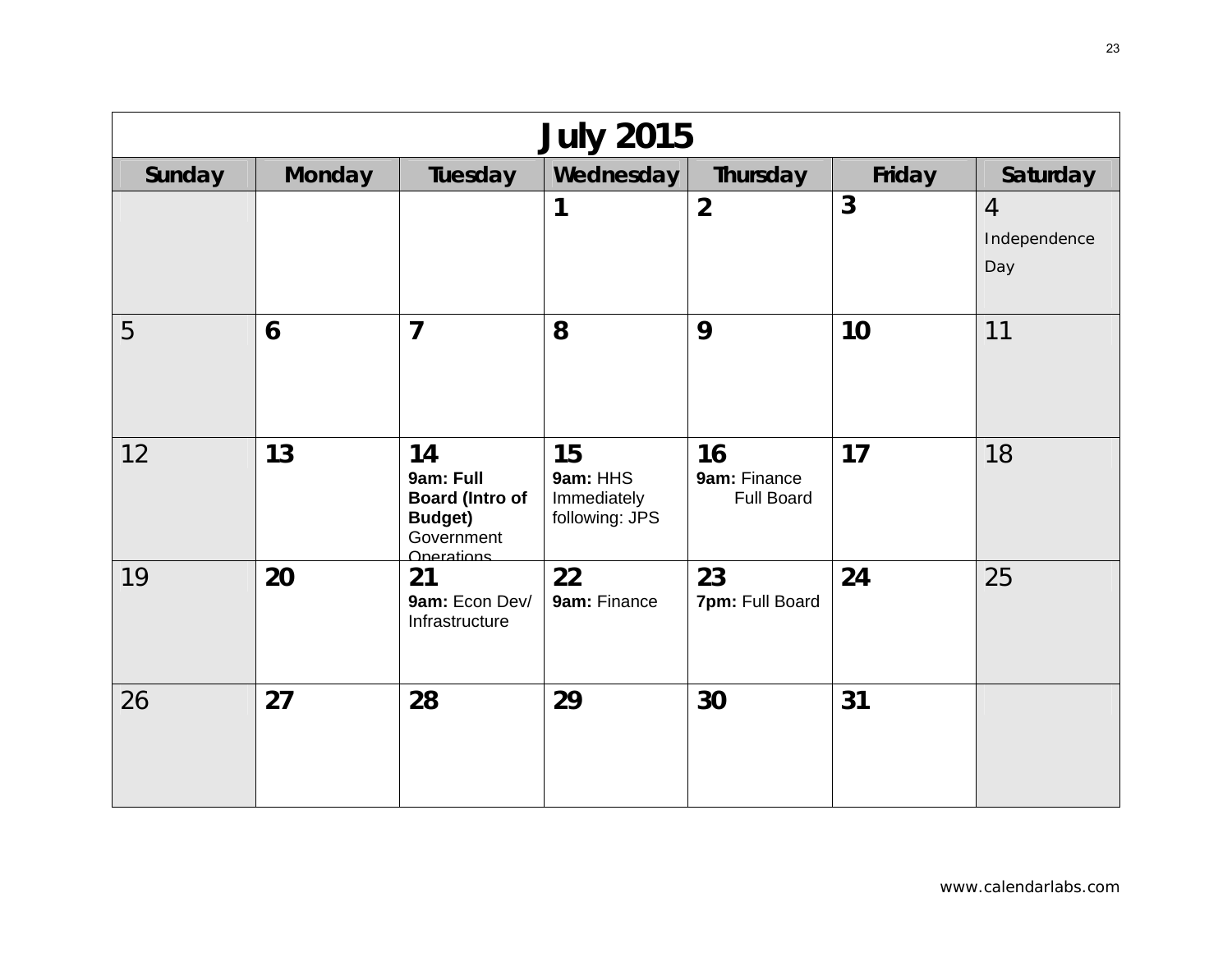| <b>July 2015</b> |               |                                                                                         |                                                 |                                         |                |                                       |  |  |  |
|------------------|---------------|-----------------------------------------------------------------------------------------|-------------------------------------------------|-----------------------------------------|----------------|---------------------------------------|--|--|--|
| Sunday           | <b>Monday</b> | Tuesday                                                                                 | Wednesday                                       | Thursday                                | Friday         | Saturday                              |  |  |  |
|                  |               |                                                                                         | 1                                               | $\overline{2}$                          | $\overline{3}$ | $\overline{4}$<br>Independence<br>Day |  |  |  |
| 5                | 6             | $\overline{7}$                                                                          | 8                                               | 9                                       | 10             | 11                                    |  |  |  |
| 12               | 13            | 14<br>9am: Full<br><b>Board (Intro of</b><br><b>Budget)</b><br>Government<br>Onerations | 15<br>9am: HHS<br>Immediately<br>following: JPS | 16<br>9am: Finance<br><b>Full Board</b> | 17             | 18                                    |  |  |  |
| 19               | 20            | 21<br>9am: Econ Dev/<br>Infrastructure                                                  | 22<br>9am: Finance                              | 23<br>7pm: Full Board                   | 24             | 25                                    |  |  |  |
| 26               | 27            | 28                                                                                      | 29                                              | 30                                      | 31             |                                       |  |  |  |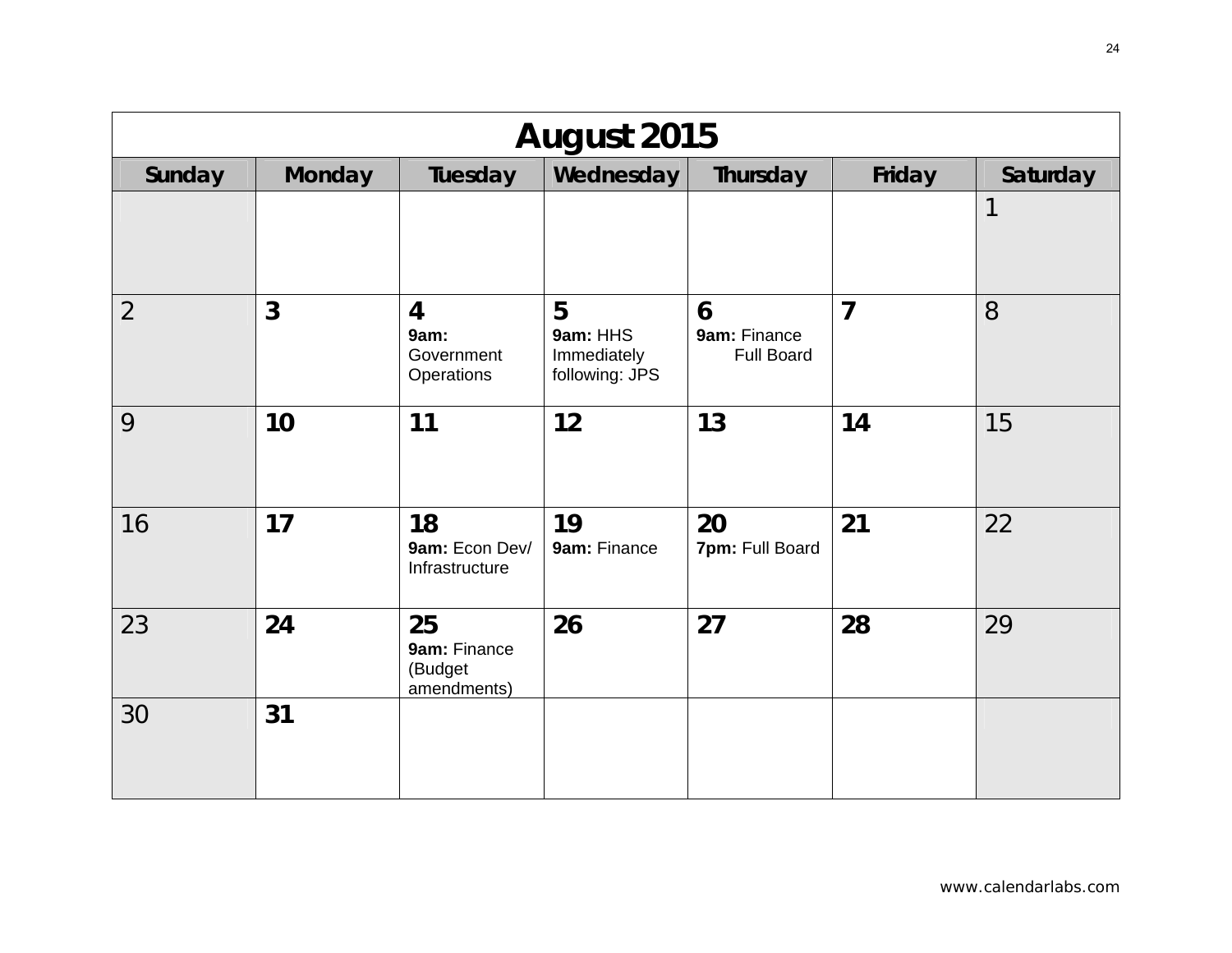| August 2015    |               |                                                    |                                                |                                        |                |          |  |  |  |
|----------------|---------------|----------------------------------------------------|------------------------------------------------|----------------------------------------|----------------|----------|--|--|--|
| Sunday         | <b>Monday</b> | Tuesday                                            | Wednesday                                      | Thursday                               | Friday         | Saturday |  |  |  |
|                |               |                                                    |                                                |                                        |                | 1        |  |  |  |
| $\overline{2}$ | 3             | $\overline{4}$<br>9am:<br>Government<br>Operations | 5<br>9am: HHS<br>Immediately<br>following: JPS | 6<br>9am: Finance<br><b>Full Board</b> | $\overline{7}$ | 8        |  |  |  |
| 9              | 10            | 11                                                 | 12                                             | 13                                     | 14             | 15       |  |  |  |
| 16             | 17            | 18<br>9am: Econ Dev/<br>Infrastructure             | 19<br>9am: Finance                             | 20<br>7pm: Full Board                  | 21             | 22       |  |  |  |
| 23             | 24            | 25<br>9am: Finance<br>(Budget<br>amendments)       | 26                                             | 27                                     | 28             | 29       |  |  |  |
| 30             | 31            |                                                    |                                                |                                        |                |          |  |  |  |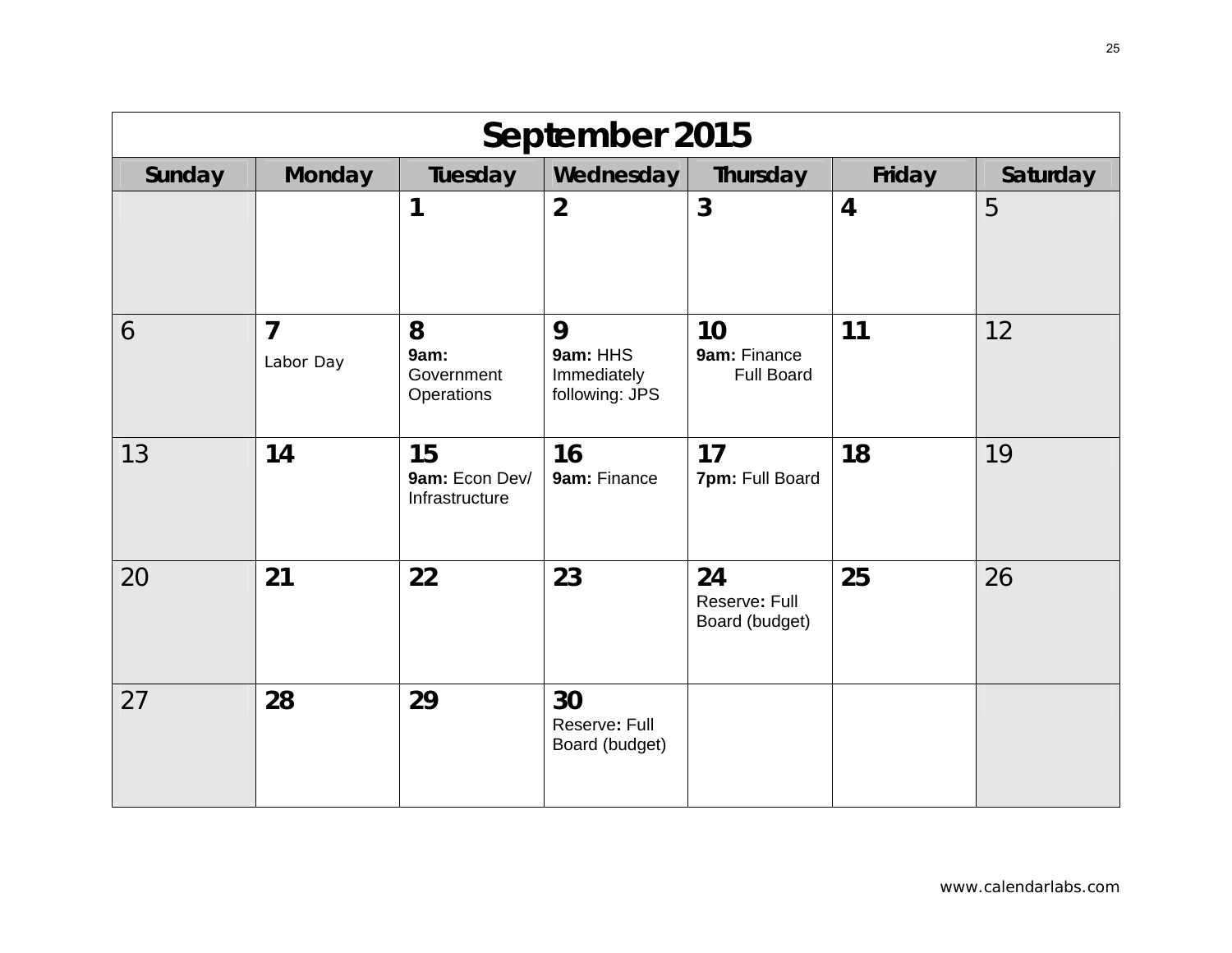| September 2015 |                             |                                        |                                                |                                         |                |          |  |  |  |
|----------------|-----------------------------|----------------------------------------|------------------------------------------------|-----------------------------------------|----------------|----------|--|--|--|
| Sunday         | <b>Monday</b>               | Tuesday                                | Wednesday                                      | Thursday                                | Friday         | Saturday |  |  |  |
|                |                             | 1                                      | $\overline{2}$                                 | $\mathbf{3}$                            | $\overline{4}$ | 5        |  |  |  |
| 6              | $\overline{7}$<br>Labor Day | 8<br>9am:<br>Government<br>Operations  | 9<br>9am: HHS<br>Immediately<br>following: JPS | 10<br>9am: Finance<br><b>Full Board</b> | 11             | 12       |  |  |  |
| 13             | 14                          | 15<br>9am: Econ Dev/<br>Infrastructure | 16<br>9am: Finance                             | 17<br>7pm: Full Board                   | 18             | 19       |  |  |  |
| 20             | 21                          | 22                                     | 23                                             | 24<br>Reserve: Full<br>Board (budget)   | 25             | 26       |  |  |  |
| 27             | 28                          | 29                                     | 30<br>Reserve: Full<br>Board (budget)          |                                         |                |          |  |  |  |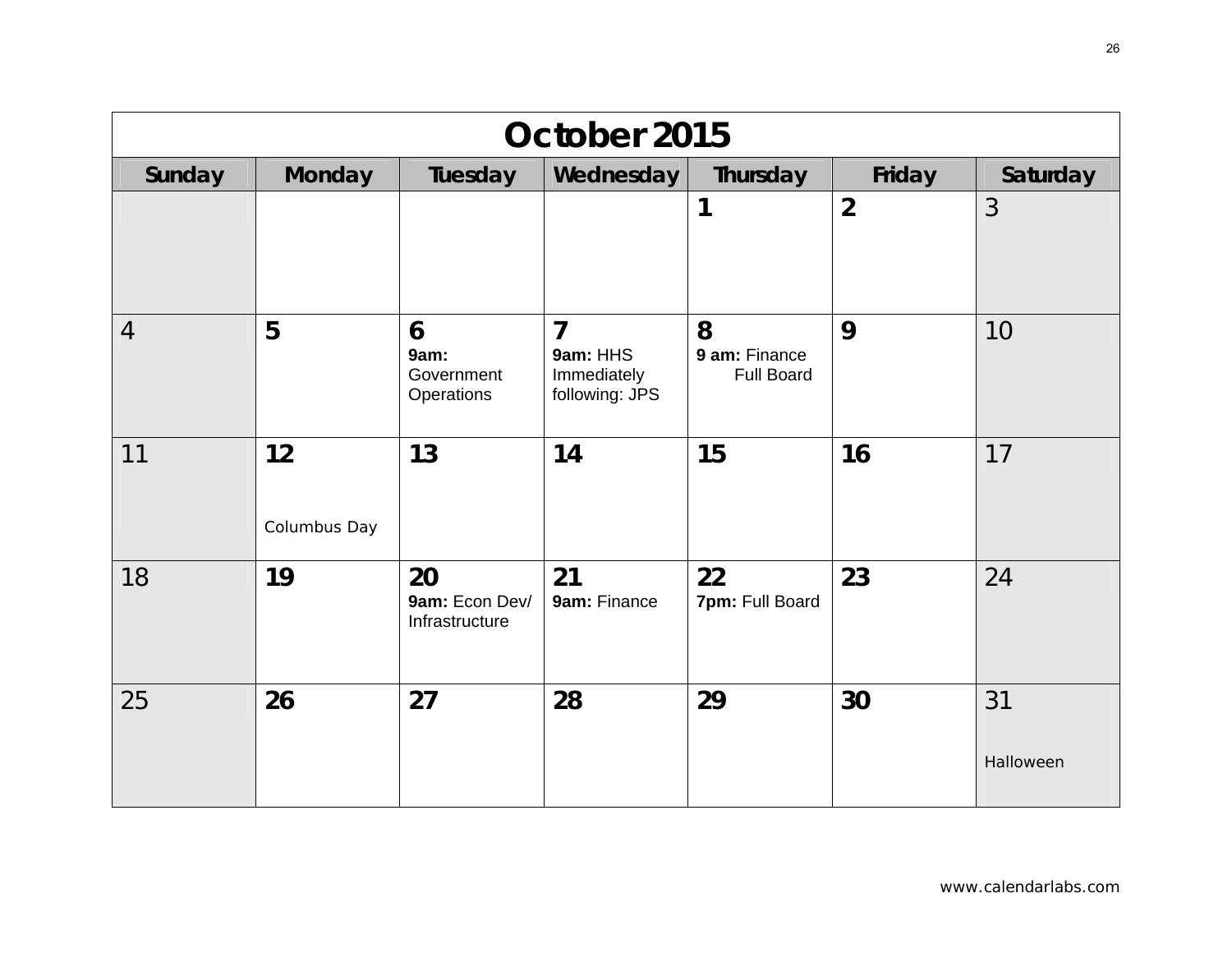| October 2015   |                    |                                        |                                                |                                         |                |                 |  |
|----------------|--------------------|----------------------------------------|------------------------------------------------|-----------------------------------------|----------------|-----------------|--|
| Sunday         | <b>Monday</b>      | Tuesday                                | Wednesday                                      | Thursday                                | Friday         | Saturday        |  |
|                |                    |                                        |                                                | 1                                       | $\overline{2}$ | 3               |  |
| $\overline{4}$ | 5                  | 6<br>9am:<br>Government<br>Operations  | 7<br>9am: HHS<br>Immediately<br>following: JPS | 8<br>9 am: Finance<br><b>Full Board</b> | 9              | 10              |  |
| 11             | 12<br>Columbus Day | 13                                     | 14                                             | 15                                      | 16             | 17              |  |
| 18             | 19                 | 20<br>9am: Econ Dev/<br>Infrastructure | 21<br>9am: Finance                             | 22<br>7pm: Full Board                   | 23             | 24              |  |
| 25             | 26                 | 27                                     | 28                                             | 29                                      | 30             | 31<br>Halloween |  |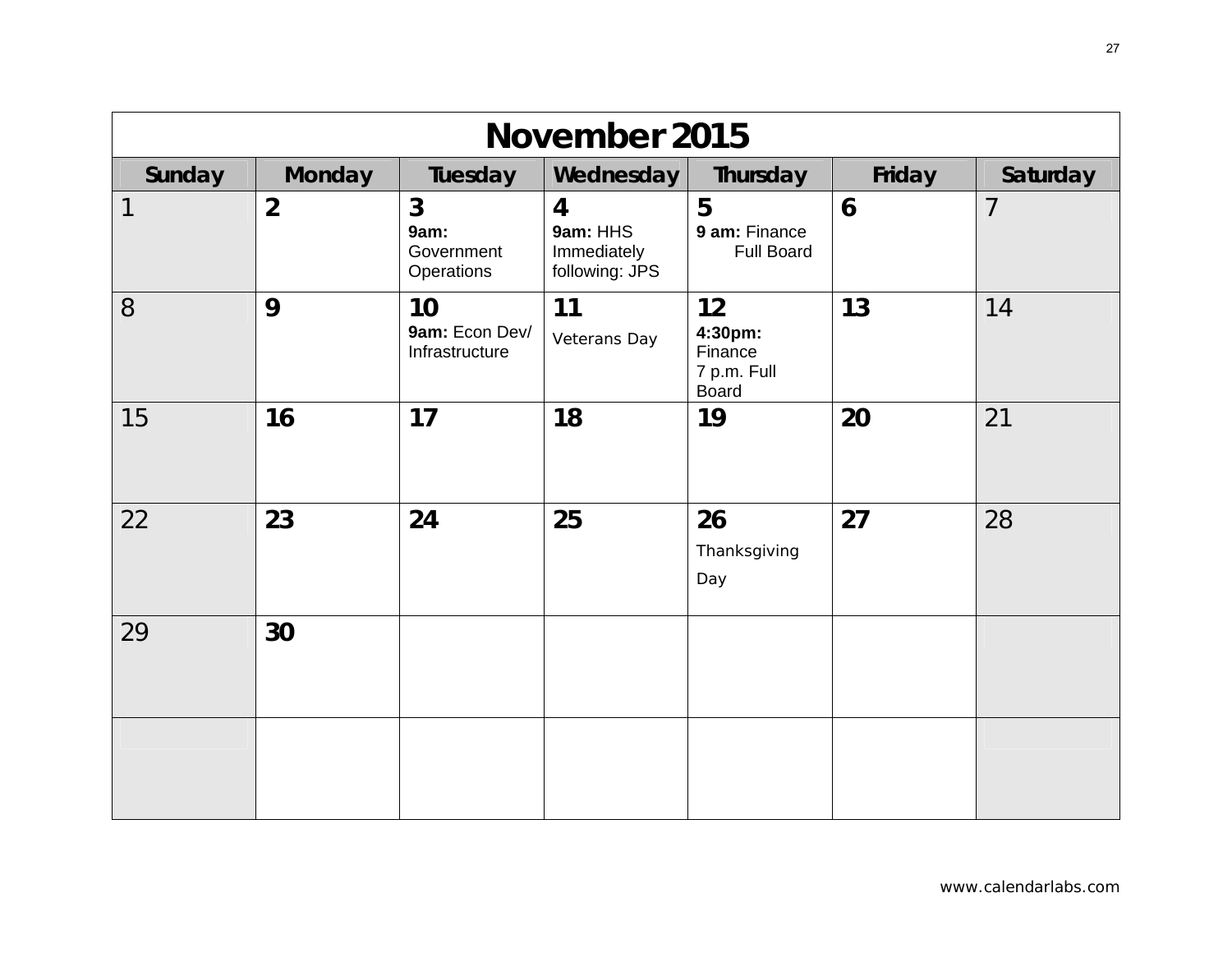| November 2015 |                |                                                  |                                                             |                                                         |                  |                |
|---------------|----------------|--------------------------------------------------|-------------------------------------------------------------|---------------------------------------------------------|------------------|----------------|
| Sunday        | <b>Monday</b>  | Tuesday                                          | Wednesday                                                   | Thursday                                                | Friday           | Saturday       |
| 1             | $\overline{2}$ | $\mathbf{3}$<br>9am:<br>Government<br>Operations | $\overline{4}$<br>9am: HHS<br>Immediately<br>following: JPS | 5<br>9 am: Finance<br><b>Full Board</b>                 | $\boldsymbol{6}$ | $\overline{7}$ |
| 8             | 9              | 10<br>9am: Econ Dev/<br>Infrastructure           | 11<br>Veterans Day                                          | 12<br>4:30pm:<br>Finance<br>7 p.m. Full<br><b>Board</b> | 13               | 14             |
| 15            | 16             | 17                                               | 18                                                          | 19                                                      | 20               | 21             |
| 22            | 23             | 24                                               | 25                                                          | 26<br>Thanksgiving<br>Day                               | 27               | 28             |
| 29            | 30             |                                                  |                                                             |                                                         |                  |                |
|               |                |                                                  |                                                             |                                                         |                  |                |